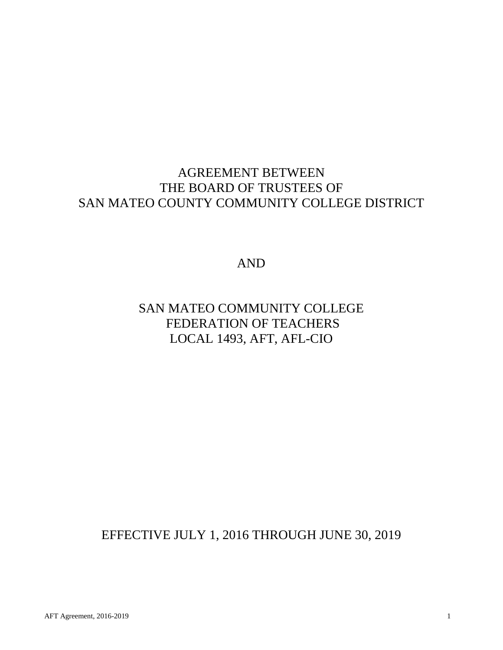## AGREEMENT BETWEEN THE BOARD OF TRUSTEES OF SAN MATEO COUNTY COMMUNITY COLLEGE DISTRICT

AND

## SAN MATEO COMMUNITY COLLEGE FEDERATION OF TEACHERS LOCAL 1493, AFT, AFL-CIO

EFFECTIVE JULY 1, 2016 THROUGH JUNE 30, 2019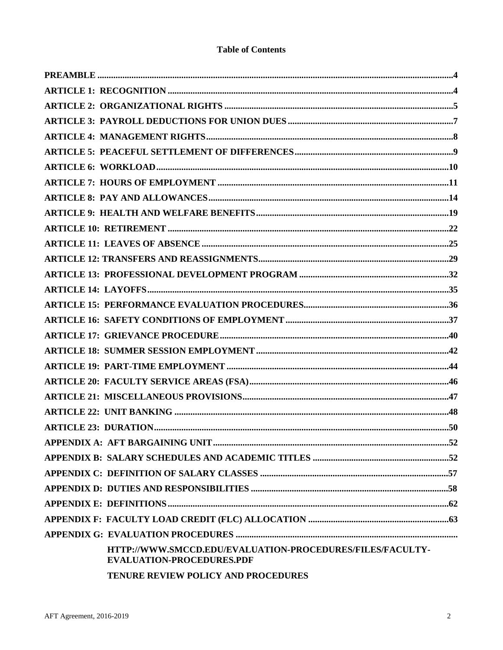## **Table of Contents**

| HTTP://WWW.SMCCD.EDU/EVALUATION-PROCEDURES/FILES/FACULTY-<br><b>EVALUATION-PROCEDURES.PDF</b> |  |
|-----------------------------------------------------------------------------------------------|--|
| TENURE REVIEW POLICY AND PROCEDURES                                                           |  |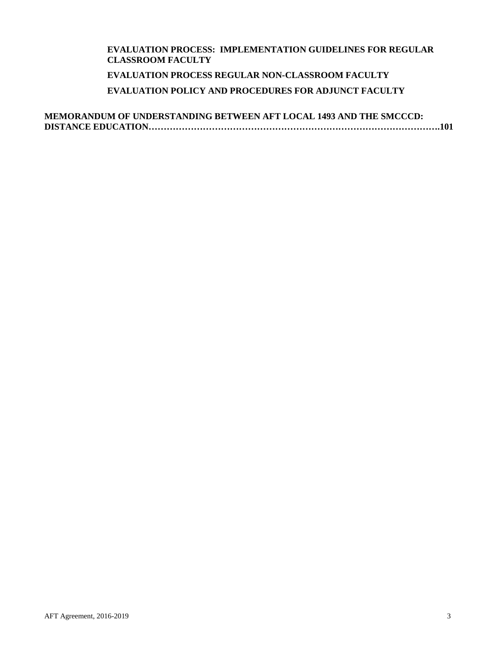## **EVALUATION PROCESS: IMPLEMENTATION GUIDELINES FOR REGULAR CLASSROOM FACULTY EVALUATION PROCESS REGULAR NON-CLASSROOM FACULTY EVALUATION POLICY AND PROCEDURES FOR ADJUNCT FACULTY**

**MEMORANDUM OF UNDERSTANDING BETWEEN AFT LOCAL 1493 AND THE SMCCCD: DISTANCE EDUCATION…………………………………………………………………………………….101**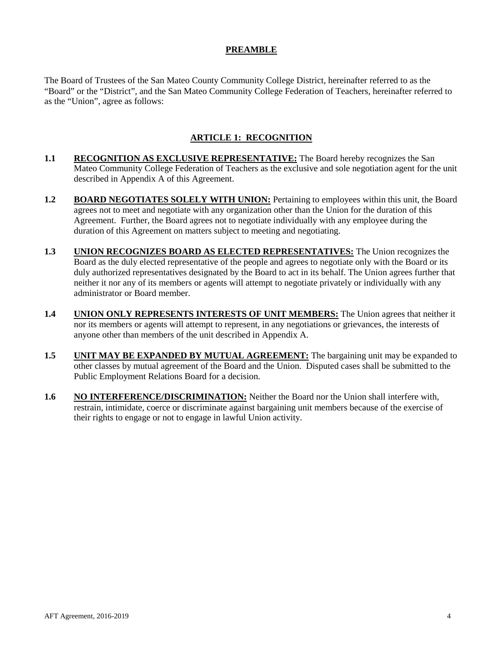## **PREAMBLE**

<span id="page-3-0"></span>The Board of Trustees of the San Mateo County Community College District, hereinafter referred to as the "Board" or the "District", and the San Mateo Community College Federation of Teachers, hereinafter referred to as the "Union", agree as follows:

## **ARTICLE 1: RECOGNITION**

- <span id="page-3-1"></span>**1.1 RECOGNITION AS EXCLUSIVE REPRESENTATIVE:** The Board hereby recognizes the San Mateo Community College Federation of Teachers as the exclusive and sole negotiation agent for the unit described in Appendix A of this Agreement.
- **1.2 BOARD NEGOTIATES SOLELY WITH UNION:** Pertaining to employees within this unit, the Board agrees not to meet and negotiate with any organization other than the Union for the duration of this Agreement. Further, the Board agrees not to negotiate individually with any employee during the duration of this Agreement on matters subject to meeting and negotiating.
- **1.3 UNION RECOGNIZES BOARD AS ELECTED REPRESENTATIVES:** The Union recognizes the Board as the duly elected representative of the people and agrees to negotiate only with the Board or its duly authorized representatives designated by the Board to act in its behalf. The Union agrees further that neither it nor any of its members or agents will attempt to negotiate privately or individually with any administrator or Board member.
- **1.4 UNION ONLY REPRESENTS INTERESTS OF UNIT MEMBERS:** The Union agrees that neither it nor its members or agents will attempt to represent, in any negotiations or grievances, the interests of anyone other than members of the unit described in Appendix A.
- **1.5 UNIT MAY BE EXPANDED BY MUTUAL AGREEMENT:** The bargaining unit may be expanded to other classes by mutual agreement of the Board and the Union. Disputed cases shall be submitted to the Public Employment Relations Board for a decision.
- **1.6 NO INTERFERENCE/DISCRIMINATION:** Neither the Board nor the Union shall interfere with, restrain, intimidate, coerce or discriminate against bargaining unit members because of the exercise of their rights to engage or not to engage in lawful Union activity.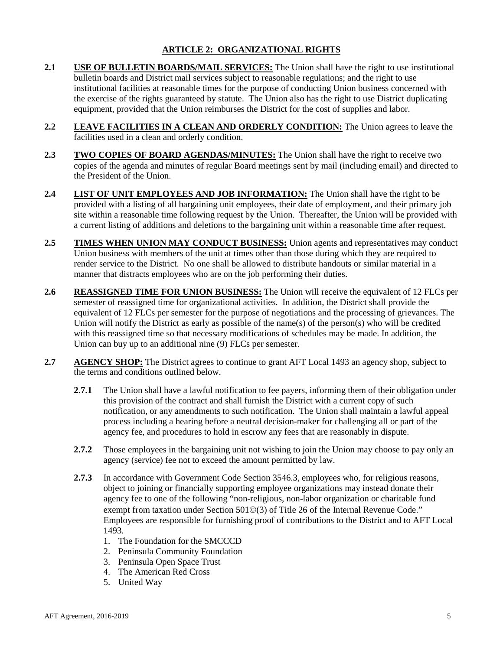## **ARTICLE 2: ORGANIZATIONAL RIGHTS**

- <span id="page-4-0"></span>**2.1 USE OF BULLETIN BOARDS/MAIL SERVICES:** The Union shall have the right to use institutional bulletin boards and District mail services subject to reasonable regulations; and the right to use institutional facilities at reasonable times for the purpose of conducting Union business concerned with the exercise of the rights guaranteed by statute. The Union also has the right to use District duplicating equipment, provided that the Union reimburses the District for the cost of supplies and labor.
- **2.2 LEAVE FACILITIES IN A CLEAN AND ORDERLY CONDITION:** The Union agrees to leave the facilities used in a clean and orderly condition.
- **2.3 TWO COPIES OF BOARD AGENDAS/MINUTES:** The Union shall have the right to receive two copies of the agenda and minutes of regular Board meetings sent by mail (including email) and directed to the President of the Union.
- **2.4 LIST OF UNIT EMPLOYEES AND JOB INFORMATION:** The Union shall have the right to be provided with a listing of all bargaining unit employees, their date of employment, and their primary job site within a reasonable time following request by the Union. Thereafter, the Union will be provided with a current listing of additions and deletions to the bargaining unit within a reasonable time after request.
- 2.5 **TIMES WHEN UNION MAY CONDUCT BUSINESS:** Union agents and representatives may conduct Union business with members of the unit at times other than those during which they are required to render service to the District. No one shall be allowed to distribute handouts or similar material in a manner that distracts employees who are on the job performing their duties.
- **2.6 REASSIGNED TIME FOR UNION BUSINESS:** The Union will receive the equivalent of 12 FLCs per semester of reassigned time for organizational activities. In addition, the District shall provide the equivalent of 12 FLCs per semester for the purpose of negotiations and the processing of grievances. The Union will notify the District as early as possible of the name(s) of the person(s) who will be credited with this reassigned time so that necessary modifications of schedules may be made. In addition, the Union can buy up to an additional nine (9) FLCs per semester.
- **2.7 AGENCY SHOP:** The District agrees to continue to grant AFT Local 1493 an agency shop, subject to the terms and conditions outlined below.
	- **2.7.1** The Union shall have a lawful notification to fee payers, informing them of their obligation under this provision of the contract and shall furnish the District with a current copy of such notification, or any amendments to such notification. The Union shall maintain a lawful appeal process including a hearing before a neutral decision-maker for challenging all or part of the agency fee, and procedures to hold in escrow any fees that are reasonably in dispute.
	- **2.7.2** Those employees in the bargaining unit not wishing to join the Union may choose to pay only an agency (service) fee not to exceed the amount permitted by law.
	- **2.7.3** In accordance with Government Code Section 3546.3, employees who, for religious reasons, object to joining or financially supporting employee organizations may instead donate their agency fee to one of the following "non-religious, non-labor organization or charitable fund exempt from taxation under Section  $501\textcircled{}(3)$  of Title 26 of the Internal Revenue Code." Employees are responsible for furnishing proof of contributions to the District and to AFT Local 1493.
		- 1. The Foundation for the SMCCCD
		- 2. Peninsula Community Foundation
		- 3. Peninsula Open Space Trust
		- 4. The American Red Cross
		- 5. United Way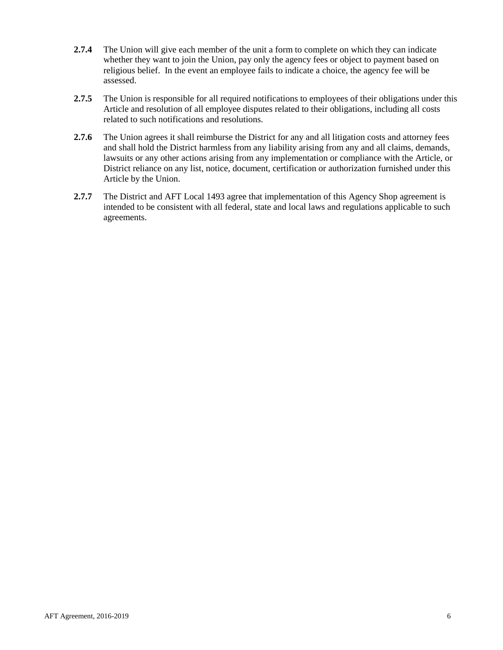- **2.7.4** The Union will give each member of the unit a form to complete on which they can indicate whether they want to join the Union, pay only the agency fees or object to payment based on religious belief. In the event an employee fails to indicate a choice, the agency fee will be assessed.
- **2.7.5** The Union is responsible for all required notifications to employees of their obligations under this Article and resolution of all employee disputes related to their obligations, including all costs related to such notifications and resolutions.
- **2.7.6** The Union agrees it shall reimburse the District for any and all litigation costs and attorney fees and shall hold the District harmless from any liability arising from any and all claims, demands, lawsuits or any other actions arising from any implementation or compliance with the Article, or District reliance on any list, notice, document, certification or authorization furnished under this Article by the Union.
- **2.7.7** The District and AFT Local 1493 agree that implementation of this Agency Shop agreement is intended to be consistent with all federal, state and local laws and regulations applicable to such agreements.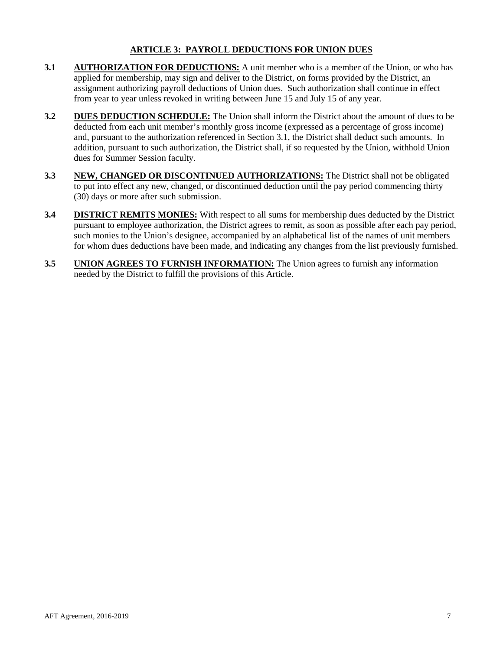## **ARTICLE 3: PAYROLL DEDUCTIONS FOR UNION DUES**

- <span id="page-6-0"></span>**3.1 AUTHORIZATION FOR DEDUCTIONS:** A unit member who is a member of the Union, or who has applied for membership, may sign and deliver to the District, on forms provided by the District, an assignment authorizing payroll deductions of Union dues. Such authorization shall continue in effect from year to year unless revoked in writing between June 15 and July 15 of any year.
- **3.2 DUES DEDUCTION SCHEDULE:** The Union shall inform the District about the amount of dues to be deducted from each unit member's monthly gross income (expressed as a percentage of gross income) and, pursuant to the authorization referenced in Section 3.1, the District shall deduct such amounts. In addition, pursuant to such authorization, the District shall, if so requested by the Union, withhold Union dues for Summer Session faculty.
- **3.3 NEW, CHANGED OR DISCONTINUED AUTHORIZATIONS:** The District shall not be obligated to put into effect any new, changed, or discontinued deduction until the pay period commencing thirty (30) days or more after such submission.
- **3.4 DISTRICT REMITS MONIES:** With respect to all sums for membership dues deducted by the District pursuant to employee authorization, the District agrees to remit, as soon as possible after each pay period, such monies to the Union's designee, accompanied by an alphabetical list of the names of unit members for whom dues deductions have been made, and indicating any changes from the list previously furnished.
- **3.5 UNION AGREES TO FURNISH INFORMATION:** The Union agrees to furnish any information needed by the District to fulfill the provisions of this Article.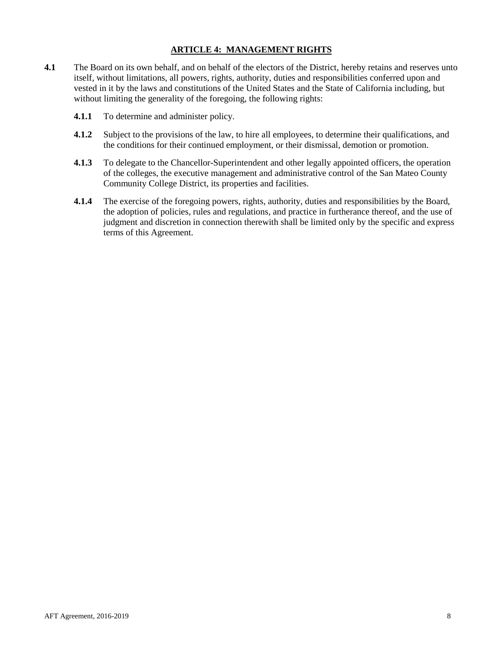## **ARTICLE 4: MANAGEMENT RIGHTS**

- <span id="page-7-0"></span>**4.1** The Board on its own behalf, and on behalf of the electors of the District, hereby retains and reserves unto itself, without limitations, all powers, rights, authority, duties and responsibilities conferred upon and vested in it by the laws and constitutions of the United States and the State of California including, but without limiting the generality of the foregoing, the following rights:
	- **4.1.1** To determine and administer policy.
	- **4.1.2** Subject to the provisions of the law, to hire all employees, to determine their qualifications, and the conditions for their continued employment, or their dismissal, demotion or promotion.
	- **4.1.3** To delegate to the Chancellor-Superintendent and other legally appointed officers, the operation of the colleges, the executive management and administrative control of the San Mateo County Community College District, its properties and facilities.
	- **4.1.4** The exercise of the foregoing powers, rights, authority, duties and responsibilities by the Board, the adoption of policies, rules and regulations, and practice in furtherance thereof, and the use of judgment and discretion in connection therewith shall be limited only by the specific and express terms of this Agreement.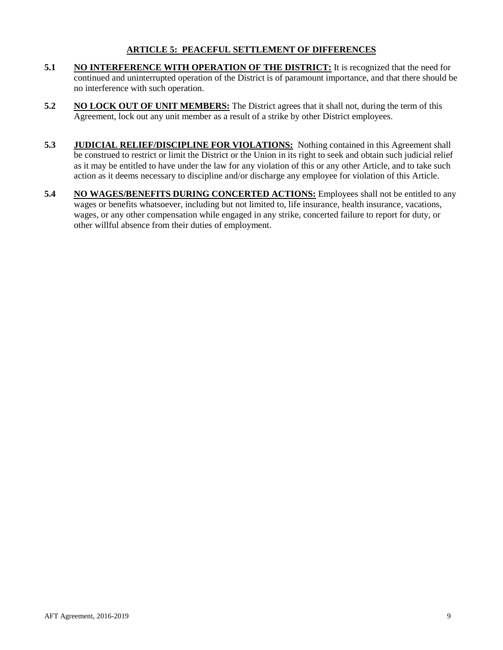## **ARTICLE 5: PEACEFUL SETTLEMENT OF DIFFERENCES**

- <span id="page-8-0"></span>**5.1 NO INTERFERENCE WITH OPERATION OF THE DISTRICT:** It is recognized that the need for continued and uninterrupted operation of the District is of paramount importance, and that there should be no interference with such operation.
- **5.2 NO LOCK OUT OF UNIT MEMBERS:** The District agrees that it shall not, during the term of this Agreement, lock out any unit member as a result of a strike by other District employees.
- **5.3 JUDICIAL RELIEF/DISCIPLINE FOR VIOLATIONS:** Nothing contained in this Agreement shall be construed to restrict or limit the District or the Union in its right to seek and obtain such judicial relief as it may be entitled to have under the law for any violation of this or any other Article, and to take such action as it deems necessary to discipline and/or discharge any employee for violation of this Article.
- **5.4 NO WAGES/BENEFITS DURING CONCERTED ACTIONS:** Employees shall not be entitled to any wages or benefits whatsoever, including but not limited to, life insurance, health insurance, vacations, wages, or any other compensation while engaged in any strike, concerted failure to report for duty, or other willful absence from their duties of employment.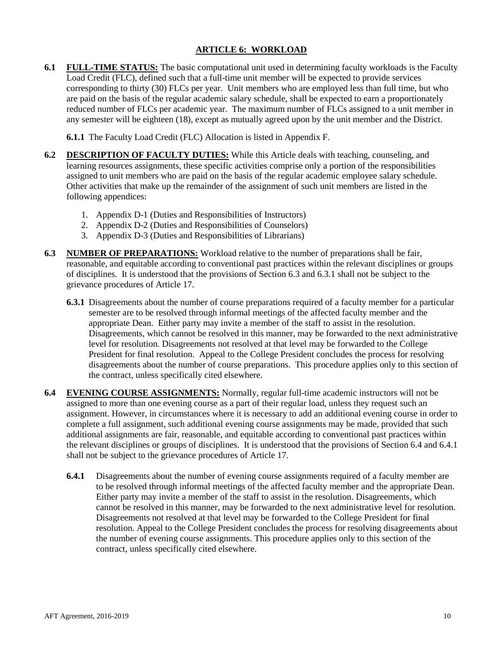## **ARTICLE 6: WORKLOAD**

<span id="page-9-0"></span>**6.1 FULL-TIME STATUS:** The basic computational unit used in determining faculty workloads is the Faculty Load Credit (FLC), defined such that a full-time unit member will be expected to provide services corresponding to thirty (30) FLCs per year. Unit members who are employed less than full time, but who are paid on the basis of the regular academic salary schedule, shall be expected to earn a proportionately reduced number of FLCs per academic year. The maximum number of FLCs assigned to a unit member in any semester will be eighteen (18), except as mutually agreed upon by the unit member and the District.

**6.1.1** The Faculty Load Credit (FLC) Allocation is listed in Appendix F.

- **6.2 DESCRIPTION OF FACULTY DUTIES:** While this Article deals with teaching, counseling, and learning resources assignments, these specific activities comprise only a portion of the responsibilities assigned to unit members who are paid on the basis of the regular academic employee salary schedule. Other activities that make up the remainder of the assignment of such unit members are listed in the following appendices:
	- 1. Appendix D-1 (Duties and Responsibilities of Instructors)
	- 2. Appendix D-2 (Duties and Responsibilities of Counselors)
	- 3. Appendix D-3 (Duties and Responsibilities of Librarians)
- **6.3 NUMBER OF PREPARATIONS:** Workload relative to the number of preparations shall be fair, reasonable, and equitable according to conventional past practices within the relevant disciplines or groups of disciplines. It is understood that the provisions of Section 6.3 and 6.3.1 shall not be subject to the grievance procedures of Article 17.
	- **6.3.1** Disagreements about the number of course preparations required of a faculty member for a particular semester are to be resolved through informal meetings of the affected faculty member and the appropriate Dean. Either party may invite a member of the staff to assist in the resolution. Disagreements, which cannot be resolved in this manner, may be forwarded to the next administrative level for resolution. Disagreements not resolved at that level may be forwarded to the College President for final resolution. Appeal to the College President concludes the process for resolving disagreements about the number of course preparations. This procedure applies only to this section of the contract, unless specifically cited elsewhere.
- **6.4 EVENING COURSE ASSIGNMENTS:** Normally, regular full-time academic instructors will not be assigned to more than one evening course as a part of their regular load, unless they request such an assignment. However, in circumstances where it is necessary to add an additional evening course in order to complete a full assignment, such additional evening course assignments may be made, provided that such additional assignments are fair, reasonable, and equitable according to conventional past practices within the relevant disciplines or groups of disciplines. It is understood that the provisions of Section 6.4 and 6.4.1 shall not be subject to the grievance procedures of Article 17.
	- **6.4.1** Disagreements about the number of evening course assignments required of a faculty member are to be resolved through informal meetings of the affected faculty member and the appropriate Dean. Either party may invite a member of the staff to assist in the resolution. Disagreements, which cannot be resolved in this manner, may be forwarded to the next administrative level for resolution. Disagreements not resolved at that level may be forwarded to the College President for final resolution. Appeal to the College President concludes the process for resolving disagreements about the number of evening course assignments. This procedure applies only to this section of the contract, unless specifically cited elsewhere.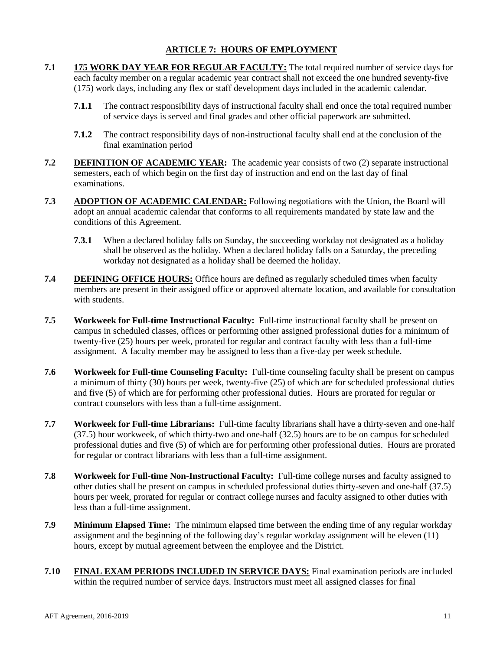## **ARTICLE 7: HOURS OF EMPLOYMENT**

- <span id="page-10-0"></span>**7.1 175 WORK DAY YEAR FOR REGULAR FACULTY:** The total required number of service days for each faculty member on a regular academic year contract shall not exceed the one hundred seventy-five (175) work days, including any flex or staff development days included in the academic calendar.
	- **7.1.1** The contract responsibility days of instructional faculty shall end once the total required number of service days is served and final grades and other official paperwork are submitted.
	- **7.1.2** The contract responsibility days of non-instructional faculty shall end at the conclusion of the final examination period
- **7.2 DEFINITION OF ACADEMIC YEAR:** The academic year consists of two (2) separate instructional semesters, each of which begin on the first day of instruction and end on the last day of final examinations.
- **7.3 ADOPTION OF ACADEMIC CALENDAR:** Following negotiations with the Union, the Board will adopt an annual academic calendar that conforms to all requirements mandated by state law and the conditions of this Agreement.
	- **7.3.1** When a declared holiday falls on Sunday, the succeeding workday not designated as a holiday shall be observed as the holiday. When a declared holiday falls on a Saturday, the preceding workday not designated as a holiday shall be deemed the holiday.
- **7.4 DEFINING OFFICE HOURS:** Office hours are defined as regularly scheduled times when faculty members are present in their assigned office or approved alternate location, and available for consultation with students.
- **7.5 Workweek for Full-time Instructional Faculty:** Full-time instructional faculty shall be present on campus in scheduled classes, offices or performing other assigned professional duties for a minimum of twenty-five (25) hours per week, prorated for regular and contract faculty with less than a full-time assignment. A faculty member may be assigned to less than a five-day per week schedule.
- **7.6 Workweek for Full-time Counseling Faculty:** Full-time counseling faculty shall be present on campus a minimum of thirty (30) hours per week, twenty-five (25) of which are for scheduled professional duties and five (5) of which are for performing other professional duties. Hours are prorated for regular or contract counselors with less than a full-time assignment.
- **7.7 Workweek for Full-time Librarians:** Full-time faculty librarians shall have a thirty-seven and one-half (37.5) hour workweek, of which thirty-two and one-half (32.5) hours are to be on campus for scheduled professional duties and five (5) of which are for performing other professional duties. Hours are prorated for regular or contract librarians with less than a full-time assignment.
- **7.8 Workweek for Full-time Non-Instructional Faculty:** Full-time college nurses and faculty assigned to other duties shall be present on campus in scheduled professional duties thirty-seven and one-half (37.5) hours per week, prorated for regular or contract college nurses and faculty assigned to other duties with less than a full-time assignment.
- **7.9 Minimum Elapsed Time:** The minimum elapsed time between the ending time of any regular workday assignment and the beginning of the following day's regular workday assignment will be eleven (11) hours, except by mutual agreement between the employee and the District.
- **7.10 FINAL EXAM PERIODS INCLUDED IN SERVICE DAYS:** Final examination periods are included within the required number of service days. Instructors must meet all assigned classes for final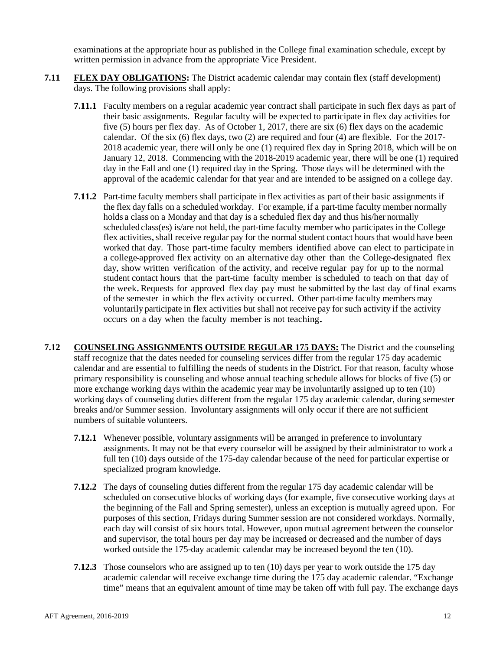examinations at the appropriate hour as published in the College final examination schedule, except by written permission in advance from the appropriate Vice President.

- **7.11 FLEX DAY OBLIGATIONS:** The District academic calendar may contain flex (staff development) days. The following provisions shall apply:
	- **7.11.1** Faculty members on a regular academic year contract shall participate in such flex days as part of their basic assignments. Regular faculty will be expected to participate in flex day activities for five (5) hours per flex day. As of October 1, 2017, there are six (6) flex days on the academic calendar. Of the six (6) flex days, two (2) are required and four (4) are flexible. For the 2017- 2018 academic year, there will only be one (1) required flex day in Spring 2018, which will be on January 12, 2018. Commencing with the 2018-2019 academic year, there will be one (1) required day in the Fall and one (1) required day in the Spring. Those days will be determined with the approval of the academic calendar for that year and are intended to be assigned on a college day.
	- **7.11.2** Part-time faculty members shall participate in flex activities as part of their basic assignments if the flex day falls on a scheduled workday. For example, if a part-time faculty member normally holds a class on a Monday and that day is a scheduled flex day and thus his/her normally scheduled class(es) is/are not held, the part-time faculty member who participates in the College flex activities, shall receive regular pay for the normal student contact hours that would have been worked that day. Those part-time faculty members identified above can elect to participate in a college-approved flex activity on an alternative day other than the College-designated flex day, show written verification of the activity, and receive regular pay for up to the normal student contact hours that the part-time faculty member is scheduled to teach on that day of the week.Requests for approved flex day pay must be submitted by the last day of final exams of the semester in which the flex activity occurred. Other part-time faculty members may voluntarily participate in flex activities but shall not receive pay for such activity if the activity occurs on <sup>a</sup> day when the faculty member is not teaching.
- **7.12 COUNSELING ASSIGNMENTS OUTSIDE REGULAR 175 DAYS:** The District and the counseling staff recognize that the dates needed for counseling services differ from the regular 175 day academic calendar and are essential to fulfilling the needs of students in the District. For that reason, faculty whose primary responsibility is counseling and whose annual teaching schedule allows for blocks of five (5) or more exchange working days within the academic year may be involuntarily assigned up to ten (10) working days of counseling duties different from the regular 175 day academic calendar, during semester breaks and/or Summer session. Involuntary assignments will only occur if there are not sufficient numbers of suitable volunteers.
	- **7.12.1** Whenever possible, voluntary assignments will be arranged in preference to involuntary assignments. It may not be that every counselor will be assigned by their administrator to work a full ten (10) days outside of the 175-day calendar because of the need for particular expertise or specialized program knowledge.
	- **7.12.2** The days of counseling duties different from the regular 175 day academic calendar will be scheduled on consecutive blocks of working days (for example, five consecutive working days at the beginning of the Fall and Spring semester), unless an exception is mutually agreed upon. For purposes of this section, Fridays during Summer session are not considered workdays. Normally, each day will consist of six hours total. However, upon mutual agreement between the counselor and supervisor, the total hours per day may be increased or decreased and the number of days worked outside the 175-day academic calendar may be increased beyond the ten (10).
	- **7.12.3** Those counselors who are assigned up to ten (10) days per year to work outside the 175 day academic calendar will receive exchange time during the 175 day academic calendar. "Exchange time" means that an equivalent amount of time may be taken off with full pay. The exchange days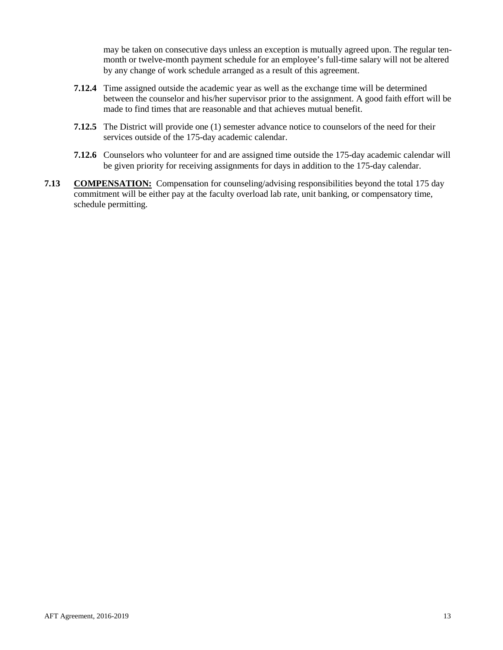may be taken on consecutive days unless an exception is mutually agreed upon. The regular tenmonth or twelve-month payment schedule for an employee's full-time salary will not be altered by any change of work schedule arranged as a result of this agreement.

- **7.12.4** Time assigned outside the academic year as well as the exchange time will be determined between the counselor and his/her supervisor prior to the assignment. A good faith effort will be made to find times that are reasonable and that achieves mutual benefit.
- **7.12.5** The District will provide one (1) semester advance notice to counselors of the need for their services outside of the 175-day academic calendar.
- **7.12.6** Counselors who volunteer for and are assigned time outside the 175-day academic calendar will be given priority for receiving assignments for days in addition to the 175-day calendar.
- **7.13 COMPENSATION:** Compensation for counseling/advising responsibilities beyond the total 175 day commitment will be either pay at the faculty overload lab rate, unit banking, or compensatory time, schedule permitting.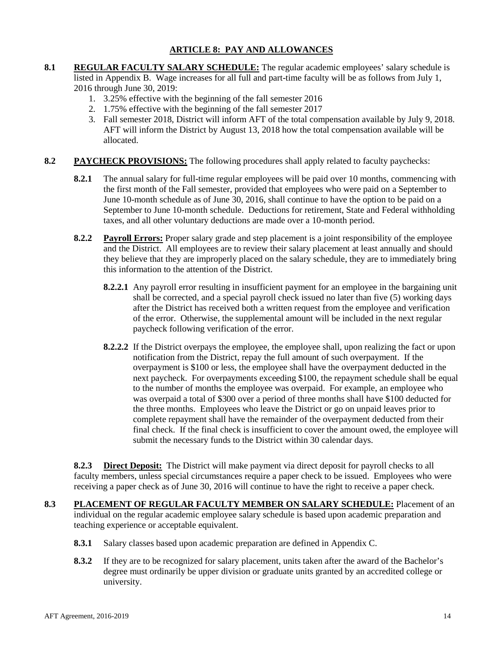## **ARTICLE 8: PAY AND ALLOWANCES**

- <span id="page-13-0"></span>**8.1 REGULAR FACULTY SALARY SCHEDULE:** The regular academic employees' salary schedule is listed in Appendix B. Wage increases for all full and part-time faculty will be as follows from July 1, 2016 through June 30, 2019:
	- 1. 3.25% effective with the beginning of the fall semester 2016
	- 2. 1.75% effective with the beginning of the fall semester 2017
	- 3. Fall semester 2018, District will inform AFT of the total compensation available by July 9, 2018. AFT will inform the District by August 13, 2018 how the total compensation available will be allocated.
- **8.2 PAYCHECK PROVISIONS:** The following procedures shall apply related to faculty paychecks:
	- **8.2.1** The annual salary for full-time regular employees will be paid over 10 months, commencing with the first month of the Fall semester, provided that employees who were paid on a September to June 10-month schedule as of June 30, 2016, shall continue to have the option to be paid on a September to June 10-month schedule. Deductions for retirement, State and Federal withholding taxes, and all other voluntary deductions are made over a 10-month period.
	- **8.2.2 Payroll Errors:** Proper salary grade and step placement is a joint responsibility of the employee and the District. All employees are to review their salary placement at least annually and should they believe that they are improperly placed on the salary schedule, they are to immediately bring this information to the attention of the District.
		- **8.2.2.1** Any payroll error resulting in insufficient payment for an employee in the bargaining unit shall be corrected, and a special payroll check issued no later than five (5) working days after the District has received both a written request from the employee and verification of the error. Otherwise, the supplemental amount will be included in the next regular paycheck following verification of the error.
		- **8.2.2.2** If the District overpays the employee, the employee shall, upon realizing the fact or upon notification from the District, repay the full amount of such overpayment. If the overpayment is \$100 or less, the employee shall have the overpayment deducted in the next paycheck. For overpayments exceeding \$100, the repayment schedule shall be equal to the number of months the employee was overpaid. For example, an employee who was overpaid a total of \$300 over a period of three months shall have \$100 deducted for the three months. Employees who leave the District or go on unpaid leaves prior to complete repayment shall have the remainder of the overpayment deducted from their final check. If the final check is insufficient to cover the amount owed, the employee will submit the necessary funds to the District within 30 calendar days.

**8.2.3 Direct Deposit:** The District will make payment via direct deposit for payroll checks to all faculty members, unless special circumstances require a paper check to be issued. Employees who were receiving a paper check as of June 30, 2016 will continue to have the right to receive a paper check.

- **8.3 PLACEMENT OF REGULAR FACULTY MEMBER ON SALARY SCHEDULE:** Placement of an individual on the regular academic employee salary schedule is based upon academic preparation and teaching experience or acceptable equivalent.
	- **8.3.1** Salary classes based upon academic preparation are defined in Appendix C.
	- **8.3.2** If they are to be recognized for salary placement, units taken after the award of the Bachelor's degree must ordinarily be upper division or graduate units granted by an accredited college or university.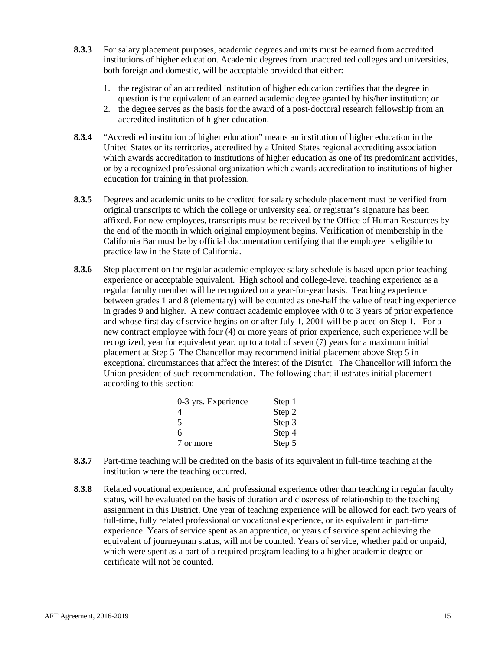- **8.3.3** For salary placement purposes, academic degrees and units must be earned from accredited institutions of higher education. Academic degrees from unaccredited colleges and universities, both foreign and domestic, will be acceptable provided that either:
	- 1. the registrar of an accredited institution of higher education certifies that the degree in question is the equivalent of an earned academic degree granted by his/her institution; or
	- 2. the degree serves as the basis for the award of a post-doctoral research fellowship from an accredited institution of higher education.
- **8.3.4** "Accredited institution of higher education" means an institution of higher education in the United States or its territories, accredited by a United States regional accrediting association which awards accreditation to institutions of higher education as one of its predominant activities, or by a recognized professional organization which awards accreditation to institutions of higher education for training in that profession.
- **8.3.5** Degrees and academic units to be credited for salary schedule placement must be verified from original transcripts to which the college or university seal or registrar's signature has been affixed. For new employees, transcripts must be received by the Office of Human Resources by the end of the month in which original employment begins. Verification of membership in the California Bar must be by official documentation certifying that the employee is eligible to practice law in the State of California.
- **8.3.6** Step placement on the regular academic employee salary schedule is based upon prior teaching experience or acceptable equivalent. High school and college-level teaching experience as a regular faculty member will be recognized on a year-for-year basis. Teaching experience between grades 1 and 8 (elementary) will be counted as one-half the value of teaching experience in grades 9 and higher. A new contract academic employee with 0 to 3 years of prior experience and whose first day of service begins on or after July 1, 2001 will be placed on Step 1. For a new contract employee with four (4) or more years of prior experience, such experience will be recognized, year for equivalent year, up to a total of seven (7) years for a maximum initial placement at Step 5 The Chancellor may recommend initial placement above Step 5 in exceptional circumstances that affect the interest of the District. The Chancellor will inform the Union president of such recommendation. The following chart illustrates initial placement according to this section:

| 0-3 yrs. Experience | Step 1 |
|---------------------|--------|
| 4                   | Step 2 |
| 5                   | Step 3 |
| 6                   | Step 4 |
| 7 or more           | Step 5 |

- **8.3.7** Part-time teaching will be credited on the basis of its equivalent in full-time teaching at the institution where the teaching occurred.
- **8.3.8** Related vocational experience, and professional experience other than teaching in regular faculty status, will be evaluated on the basis of duration and closeness of relationship to the teaching assignment in this District. One year of teaching experience will be allowed for each two years of full-time, fully related professional or vocational experience, or its equivalent in part-time experience. Years of service spent as an apprentice, or years of service spent achieving the equivalent of journeyman status, will not be counted. Years of service, whether paid or unpaid, which were spent as a part of a required program leading to a higher academic degree or certificate will not be counted.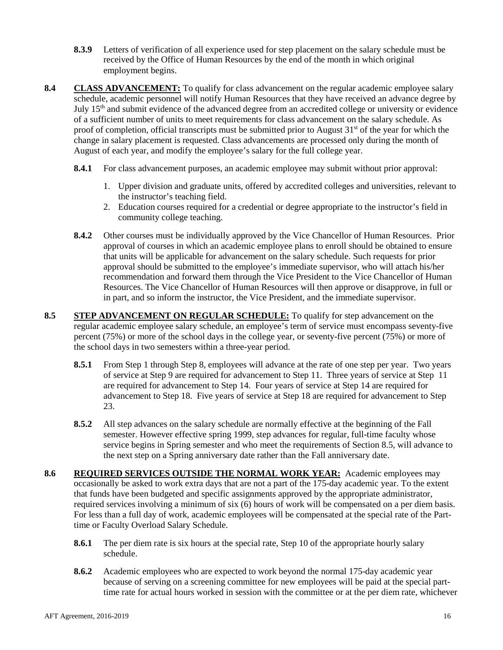- **8.3.9** Letters of verification of all experience used for step placement on the salary schedule must be received by the Office of Human Resources by the end of the month in which original employment begins.
- **8.4 CLASS ADVANCEMENT:** To qualify for class advancement on the regular academic employee salary schedule, academic personnel will notify Human Resources that they have received an advance degree by July 15th and submit evidence of the advanced degree from an accredited college or university or evidence of a sufficient number of units to meet requirements for class advancement on the salary schedule. As proof of completion, official transcripts must be submitted prior to August  $31<sup>st</sup>$  of the year for which the change in salary placement is requested. Class advancements are processed only during the month of August of each year, and modify the employee's salary for the full college year.
	- **8.4.1** For class advancement purposes, an academic employee may submit without prior approval:
		- 1. Upper division and graduate units, offered by accredited colleges and universities, relevant to the instructor's teaching field.
		- 2. Education courses required for a credential or degree appropriate to the instructor's field in community college teaching.
	- **8.4.2** Other courses must be individually approved by the Vice Chancellor of Human Resources. Prior approval of courses in which an academic employee plans to enroll should be obtained to ensure that units will be applicable for advancement on the salary schedule. Such requests for prior approval should be submitted to the employee's immediate supervisor, who will attach his/her recommendation and forward them through the Vice President to the Vice Chancellor of Human Resources. The Vice Chancellor of Human Resources will then approve or disapprove, in full or in part, and so inform the instructor, the Vice President, and the immediate supervisor.
- **8.5 STEP ADVANCEMENT ON REGULAR SCHEDULE:** To qualify for step advancement on the regular academic employee salary schedule, an employee's term of service must encompass seventy-five percent (75%) or more of the school days in the college year, or seventy-five percent (75%) or more of the school days in two semesters within a three-year period.
	- **8.5.1** From Step 1 through Step 8, employees will advance at the rate of one step per year. Two years of service at Step 9 are required for advancement to Step 11. Three years of service at Step 11 are required for advancement to Step 14. Four years of service at Step 14 are required for advancement to Step 18. Five years of service at Step 18 are required for advancement to Step 23.
	- **8.5.2** All step advances on the salary schedule are normally effective at the beginning of the Fall semester. However effective spring 1999, step advances for regular, full-time faculty whose service begins in Spring semester and who meet the requirements of Section 8.5, will advance to the next step on a Spring anniversary date rather than the Fall anniversary date.
- **8.6 REQUIRED SERVICES OUTSIDE THE NORMAL WORK YEAR:** Academic employees may occasionally be asked to work extra days that are not a part of the 175-day academic year. To the extent that funds have been budgeted and specific assignments approved by the appropriate administrator, required services involving a minimum of six (6) hours of work will be compensated on a per diem basis. For less than a full day of work, academic employees will be compensated at the special rate of the Parttime or Faculty Overload Salary Schedule.
	- **8.6.1** The per diem rate is six hours at the special rate, Step 10 of the appropriate hourly salary schedule.
	- **8.6.2** Academic employees who are expected to work beyond the normal 175-day academic year because of serving on a screening committee for new employees will be paid at the special parttime rate for actual hours worked in session with the committee or at the per diem rate, whichever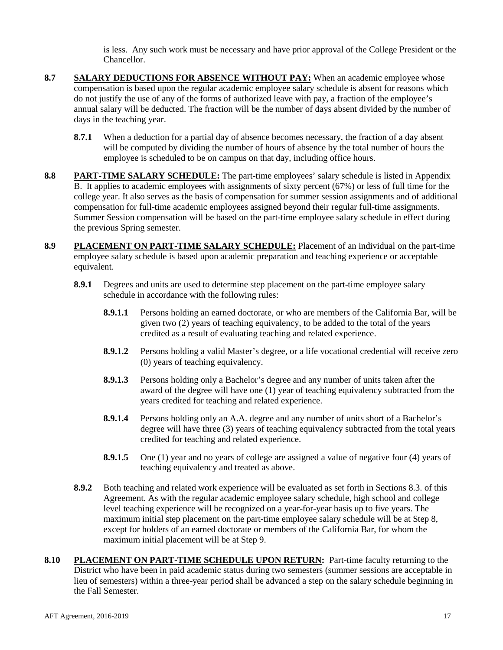is less. Any such work must be necessary and have prior approval of the College President or the Chancellor.

- **8.7 SALARY DEDUCTIONS FOR ABSENCE WITHOUT PAY:** When an academic employee whose compensation is based upon the regular academic employee salary schedule is absent for reasons which do not justify the use of any of the forms of authorized leave with pay, a fraction of the employee's annual salary will be deducted. The fraction will be the number of days absent divided by the number of days in the teaching year.
	- **8.7.1** When a deduction for a partial day of absence becomes necessary, the fraction of a day absent will be computed by dividing the number of hours of absence by the total number of hours the employee is scheduled to be on campus on that day, including office hours.
- **8.8 PART-TIME SALARY SCHEDULE:** The part-time employees' salary schedule is listed in Appendix B. It applies to academic employees with assignments of sixty percent (67%) or less of full time for the college year. It also serves as the basis of compensation for summer session assignments and of additional compensation for full-time academic employees assigned beyond their regular full-time assignments. Summer Session compensation will be based on the part-time employee salary schedule in effect during the previous Spring semester.
- **8.9 PLACEMENT ON PART-TIME SALARY SCHEDULE:** Placement of an individual on the part-time employee salary schedule is based upon academic preparation and teaching experience or acceptable equivalent.
	- **8.9.1** Degrees and units are used to determine step placement on the part-time employee salary schedule in accordance with the following rules:
		- **8.9.1.1** Persons holding an earned doctorate, or who are members of the California Bar, will be given two (2) years of teaching equivalency, to be added to the total of the years credited as a result of evaluating teaching and related experience.
		- **8.9.1.2** Persons holding a valid Master's degree, or a life vocational credential will receive zero (0) years of teaching equivalency.
		- **8.9.1.3** Persons holding only a Bachelor's degree and any number of units taken after the award of the degree will have one (1) year of teaching equivalency subtracted from the years credited for teaching and related experience.
		- **8.9.1.4** Persons holding only an A.A. degree and any number of units short of a Bachelor's degree will have three (3) years of teaching equivalency subtracted from the total years credited for teaching and related experience.
		- **8.9.1.5** One (1) year and no years of college are assigned a value of negative four (4) years of teaching equivalency and treated as above.
	- **8.9.2** Both teaching and related work experience will be evaluated as set forth in Sections 8.3. of this Agreement. As with the regular academic employee salary schedule, high school and college level teaching experience will be recognized on a year-for-year basis up to five years. The maximum initial step placement on the part-time employee salary schedule will be at Step 8, except for holders of an earned doctorate or members of the California Bar, for whom the maximum initial placement will be at Step 9.
- **8.10 PLACEMENT ON PART-TIME SCHEDULE UPON RETURN:** Part-time faculty returning to the District who have been in paid academic status during two semesters (summer sessions are acceptable in lieu of semesters) within a three-year period shall be advanced a step on the salary schedule beginning in the Fall Semester.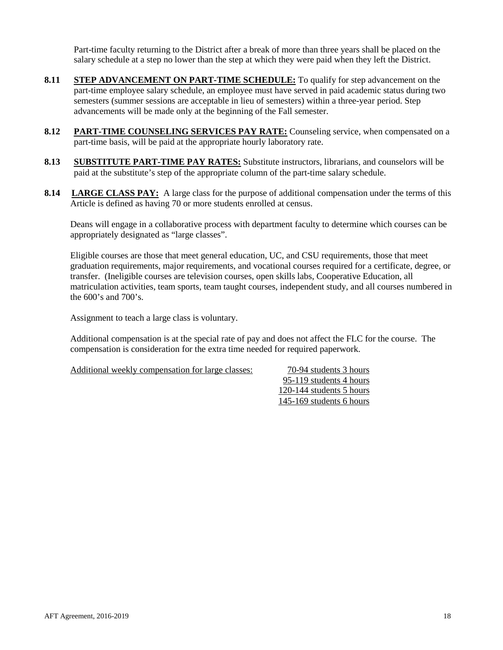Part-time faculty returning to the District after a break of more than three years shall be placed on the salary schedule at a step no lower than the step at which they were paid when they left the District.

- **8.11 STEP ADVANCEMENT ON PART-TIME SCHEDULE:** To qualify for step advancement on the part-time employee salary schedule, an employee must have served in paid academic status during two semesters (summer sessions are acceptable in lieu of semesters) within a three-year period. Step advancements will be made only at the beginning of the Fall semester.
- **8.12 PART-TIME COUNSELING SERVICES PAY RATE:** Counseling service, when compensated on a part-time basis, will be paid at the appropriate hourly laboratory rate.
- **8.13 SUBSTITUTE PART-TIME PAY RATES:** Substitute instructors, librarians, and counselors will be paid at the substitute's step of the appropriate column of the part-time salary schedule.
- **8.14 LARGE CLASS PAY:** A large class for the purpose of additional compensation under the terms of this Article is defined as having 70 or more students enrolled at census.

Deans will engage in a collaborative process with department faculty to determine which courses can be appropriately designated as "large classes".

Eligible courses are those that meet general education, UC, and CSU requirements, those that meet graduation requirements, major requirements, and vocational courses required for a certificate, degree, or transfer. (Ineligible courses are television courses, open skills labs, Cooperative Education, all matriculation activities, team sports, team taught courses, independent study, and all courses numbered in the 600's and 700's.

Assignment to teach a large class is voluntary.

Additional compensation is at the special rate of pay and does not affect the FLC for the course. The compensation is consideration for the extra time needed for required paperwork.

Additional weekly compensation for large classes:  $70-94$  students 3 hours

95-119 students 4 hours 120-144 students 5 hours 145-169 students 6 hours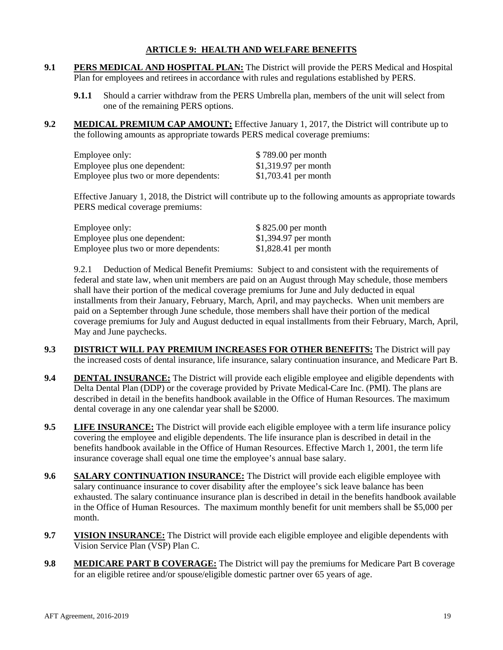## **ARTICLE 9: HEALTH AND WELFARE BENEFITS**

- <span id="page-18-0"></span>**9.1 PERS MEDICAL AND HOSPITAL PLAN:** The District will provide the PERS Medical and Hospital Plan for employees and retirees in accordance with rules and regulations established by PERS.
	- **9.1.1** Should a carrier withdraw from the PERS Umbrella plan, members of the unit will select from one of the remaining PERS options.
- **9.2 MEDICAL PREMIUM CAP AMOUNT:** Effective January 1, 2017, the District will contribute up to the following amounts as appropriate towards PERS medical coverage premiums:

| Employee only:                        | \$789.00 per month    |
|---------------------------------------|-----------------------|
| Employee plus one dependent:          | $$1,319.97$ per month |
| Employee plus two or more dependents: | $$1,703.41$ per month |

Effective January 1, 2018, the District will contribute up to the following amounts as appropriate towards PERS medical coverage premiums:

| Employee only:                        | $$825.00$ per month   |
|---------------------------------------|-----------------------|
| Employee plus one dependent:          | $$1,394.97$ per month |
| Employee plus two or more dependents: | $$1,828.41$ per month |

9.2.1 Deduction of Medical Benefit Premiums: Subject to and consistent with the requirements of federal and state law, when unit members are paid on an August through May schedule, those members shall have their portion of the medical coverage premiums for June and July deducted in equal installments from their January, February, March, April, and may paychecks. When unit members are paid on a September through June schedule, those members shall have their portion of the medical coverage premiums for July and August deducted in equal installments from their February, March, April, May and June paychecks.

- **9.3 DISTRICT WILL PAY PREMIUM INCREASES FOR OTHER BENEFITS:** The District will pay the increased costs of dental insurance, life insurance, salary continuation insurance, and Medicare Part B.
- **9.4 DENTAL INSURANCE:** The District will provide each eligible employee and eligible dependents with Delta Dental Plan (DDP) or the coverage provided by Private Medical-Care Inc. (PMI). The plans are described in detail in the benefits handbook available in the Office of Human Resources. The maximum dental coverage in any one calendar year shall be \$2000.
- **9.5 LIFE INSURANCE:** The District will provide each eligible employee with a term life insurance policy covering the employee and eligible dependents. The life insurance plan is described in detail in the benefits handbook available in the Office of Human Resources. Effective March 1, 2001, the term life insurance coverage shall equal one time the employee's annual base salary.
- **9.6 SALARY CONTINUATION INSURANCE:** The District will provide each eligible employee with salary continuance insurance to cover disability after the employee's sick leave balance has been exhausted. The salary continuance insurance plan is described in detail in the benefits handbook available in the Office of Human Resources. The maximum monthly benefit for unit members shall be \$5,000 per month.
- **9.7 VISION INSURANCE:** The District will provide each eligible employee and eligible dependents with Vision Service Plan (VSP) Plan C.
- **9.8 MEDICARE PART B COVERAGE:** The District will pay the premiums for Medicare Part B coverage for an eligible retiree and/or spouse/eligible domestic partner over 65 years of age.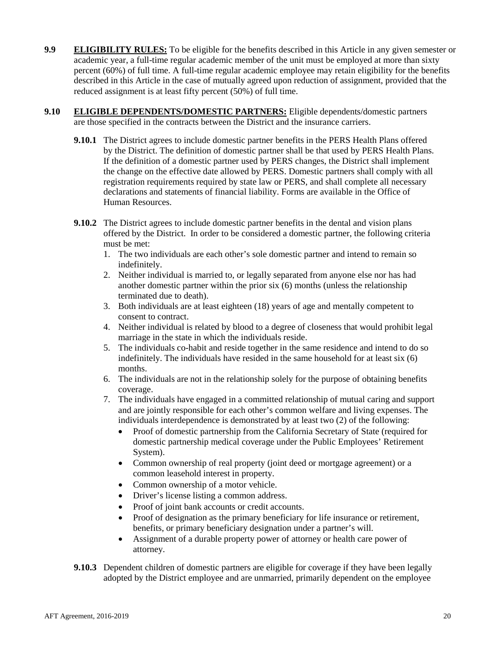- **9.9 ELIGIBILITY RULES:** To be eligible for the benefits described in this Article in any given semester or academic year, a full-time regular academic member of the unit must be employed at more than sixty percent (60%) of full time. A full-time regular academic employee may retain eligibility for the benefits described in this Article in the case of mutually agreed upon reduction of assignment, provided that the reduced assignment is at least fifty percent (50%) of full time.
- **9.10 ELIGIBLE DEPENDENTS/DOMESTIC PARTNERS:** Eligible dependents/domestic partners are those specified in the contracts between the District and the insurance carriers.
	- **9.10.1** The District agrees to include domestic partner benefits in the PERS Health Plans offered by the District. The definition of domestic partner shall be that used by PERS Health Plans. If the definition of a domestic partner used by PERS changes, the District shall implement the change on the effective date allowed by PERS. Domestic partners shall comply with all registration requirements required by state law or PERS, and shall complete all necessary declarations and statements of financial liability. Forms are available in the Office of Human Resources.
	- **9.10.2** The District agrees to include domestic partner benefits in the dental and vision plans offered by the District. In order to be considered a domestic partner, the following criteria must be met:
		- 1. The two individuals are each other's sole domestic partner and intend to remain so indefinitely.
		- 2. Neither individual is married to, or legally separated from anyone else nor has had another domestic partner within the prior six (6) months (unless the relationship terminated due to death).
		- 3. Both individuals are at least eighteen (18) years of age and mentally competent to consent to contract.
		- 4. Neither individual is related by blood to a degree of closeness that would prohibit legal marriage in the state in which the individuals reside.
		- 5. The individuals co-habit and reside together in the same residence and intend to do so indefinitely. The individuals have resided in the same household for at least six (6) months.
		- 6. The individuals are not in the relationship solely for the purpose of obtaining benefits coverage.
		- 7. The individuals have engaged in a committed relationship of mutual caring and support and are jointly responsible for each other's common welfare and living expenses. The individuals interdependence is demonstrated by at least two (2) of the following:
			- Proof of domestic partnership from the California Secretary of State (required for domestic partnership medical coverage under the Public Employees' Retirement System).
			- Common ownership of real property (joint deed or mortgage agreement) or a common leasehold interest in property.
			- Common ownership of a motor vehicle.
			- Driver's license listing a common address.
			- Proof of joint bank accounts or credit accounts.
			- Proof of designation as the primary beneficiary for life insurance or retirement, benefits, or primary beneficiary designation under a partner's will.
			- Assignment of a durable property power of attorney or health care power of attorney.
	- **9.10.3** Dependent children of domestic partners are eligible for coverage if they have been legally adopted by the District employee and are unmarried, primarily dependent on the employee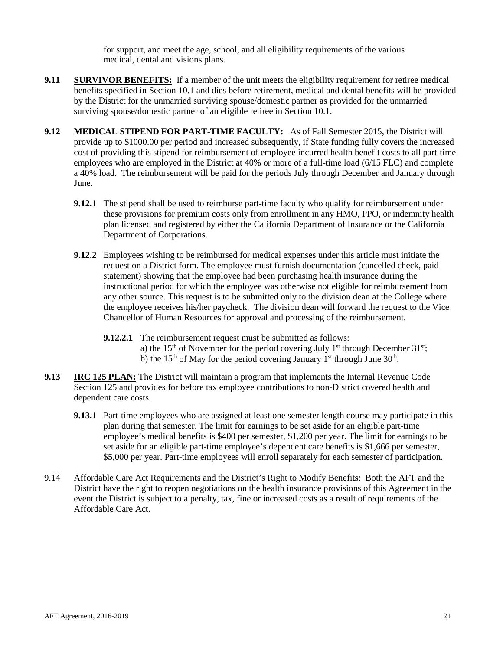for support, and meet the age, school, and all eligibility requirements of the various medical, dental and visions plans.

- **9.11 SURVIVOR BENEFITS:** If a member of the unit meets the eligibility requirement for retiree medical benefits specified in Section 10.1 and dies before retirement, medical and dental benefits will be provided by the District for the unmarried surviving spouse/domestic partner as provided for the unmarried surviving spouse/domestic partner of an eligible retiree in Section 10.1.
- **9.12 MEDICAL STIPEND FOR PART-TIME FACULTY:** As of Fall Semester 2015, the District will provide up to \$1000.00 per period and increased subsequently, if State funding fully covers the increased cost of providing this stipend for reimbursement of employee incurred health benefit costs to all part-time employees who are employed in the District at 40% or more of a full-time load (6/15 FLC) and complete a 40% load. The reimbursement will be paid for the periods July through December and January through June.
	- **9.12.1** The stipend shall be used to reimburse part-time faculty who qualify for reimbursement under these provisions for premium costs only from enrollment in any HMO, PPO, or indemnity health plan licensed and registered by either the California Department of Insurance or the California Department of Corporations.
	- **9.12.2** Employees wishing to be reimbursed for medical expenses under this article must initiate the request on a District form. The employee must furnish documentation (cancelled check, paid statement) showing that the employee had been purchasing health insurance during the instructional period for which the employee was otherwise not eligible for reimbursement from any other source. This request is to be submitted only to the division dean at the College where the employee receives his/her paycheck. The division dean will forward the request to the Vice Chancellor of Human Resources for approval and processing of the reimbursement.
		- **9.12.2.1** The reimbursement request must be submitted as follows: a) the 15<sup>th</sup> of November for the period covering July 1<sup>st</sup> through December  $31^{st}$ ; b) the 15<sup>th</sup> of May for the period covering January 1<sup>st</sup> through June 30<sup>th</sup>.
- **9.13 IRC 125 PLAN:** The District will maintain a program that implements the Internal Revenue Code Section 125 and provides for before tax employee contributions to non-District covered health and dependent care costs.
	- **9.13.1** Part-time employees who are assigned at least one semester length course may participate in this plan during that semester. The limit for earnings to be set aside for an eligible part-time employee's medical benefits is \$400 per semester, \$1,200 per year. The limit for earnings to be set aside for an eligible part-time employee's dependent care benefits is \$1,666 per semester, \$5,000 per year. Part-time employees will enroll separately for each semester of participation.
- 9.14 Affordable Care Act Requirements and the District's Right to Modify Benefits: Both the AFT and the District have the right to reopen negotiations on the health insurance provisions of this Agreement in the event the District is subject to a penalty, tax, fine or increased costs as a result of requirements of the Affordable Care Act.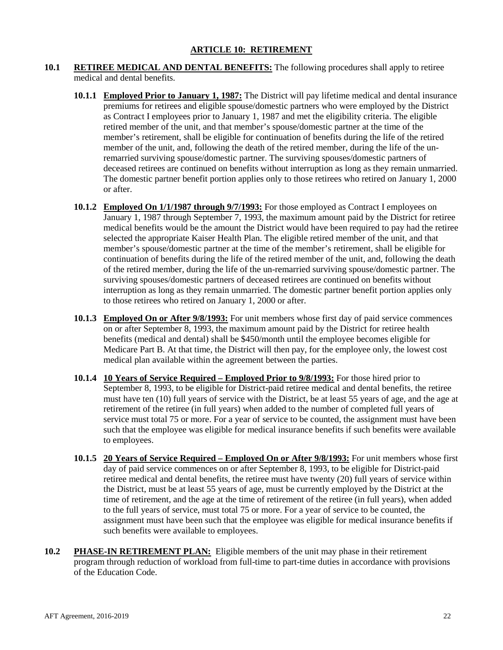- <span id="page-21-0"></span>**10.1 RETIREE MEDICAL AND DENTAL BENEFITS:** The following procedures shall apply to retiree medical and dental benefits.
	- **10.1.1 Employed Prior to January 1, 1987:** The District will pay lifetime medical and dental insurance premiums for retirees and eligible spouse/domestic partners who were employed by the District as Contract I employees prior to January 1, 1987 and met the eligibility criteria. The eligible retired member of the unit, and that member's spouse/domestic partner at the time of the member's retirement, shall be eligible for continuation of benefits during the life of the retired member of the unit, and, following the death of the retired member, during the life of the unremarried surviving spouse/domestic partner. The surviving spouses/domestic partners of deceased retirees are continued on benefits without interruption as long as they remain unmarried. The domestic partner benefit portion applies only to those retirees who retired on January 1, 2000 or after.
	- **10.1.2 Employed On 1/1/1987 through 9/7/1993:** For those employed as Contract I employees on January 1, 1987 through September 7, 1993, the maximum amount paid by the District for retiree medical benefits would be the amount the District would have been required to pay had the retiree selected the appropriate Kaiser Health Plan. The eligible retired member of the unit, and that member's spouse/domestic partner at the time of the member's retirement, shall be eligible for continuation of benefits during the life of the retired member of the unit, and, following the death of the retired member, during the life of the un-remarried surviving spouse/domestic partner. The surviving spouses/domestic partners of deceased retirees are continued on benefits without interruption as long as they remain unmarried. The domestic partner benefit portion applies only to those retirees who retired on January 1, 2000 or after.
	- **10.1.3 Employed On or After 9/8/1993:** For unit members whose first day of paid service commences on or after September 8, 1993, the maximum amount paid by the District for retiree health benefits (medical and dental) shall be \$450/month until the employee becomes eligible for Medicare Part B. At that time, the District will then pay, for the employee only, the lowest cost medical plan available within the agreement between the parties.
	- **10.1.4 10 Years of Service Required – Employed Prior to 9/8/1993:** For those hired prior to September 8, 1993, to be eligible for District-paid retiree medical and dental benefits, the retiree must have ten (10) full years of service with the District, be at least 55 years of age, and the age at retirement of the retiree (in full years) when added to the number of completed full years of service must total 75 or more. For a year of service to be counted, the assignment must have been such that the employee was eligible for medical insurance benefits if such benefits were available to employees.
	- **10.1.5 20 Years of Service Required – Employed On or After 9/8/1993:** For unit members whose first day of paid service commences on or after September 8, 1993, to be eligible for District-paid retiree medical and dental benefits, the retiree must have twenty (20) full years of service within the District, must be at least 55 years of age, must be currently employed by the District at the time of retirement, and the age at the time of retirement of the retiree (in full years), when added to the full years of service, must total 75 or more. For a year of service to be counted, the assignment must have been such that the employee was eligible for medical insurance benefits if such benefits were available to employees.
- **10.2 PHASE-IN RETIREMENT PLAN:** Eligible members of the unit may phase in their retirement program through reduction of workload from full-time to part-time duties in accordance with provisions of the Education Code.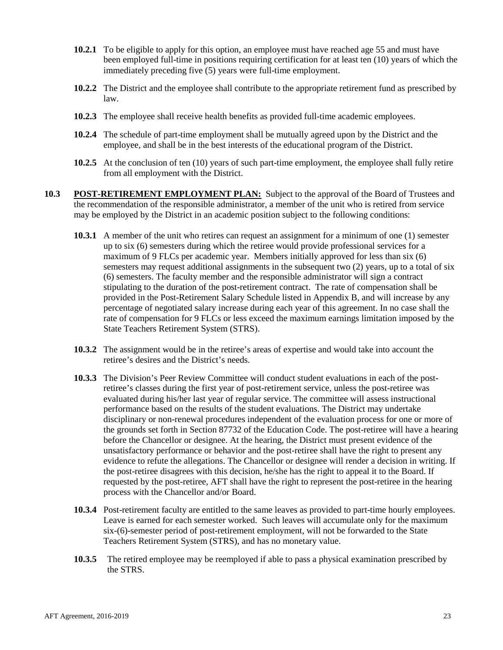- **10.2.1** To be eligible to apply for this option, an employee must have reached age 55 and must have been employed full-time in positions requiring certification for at least ten (10) years of which the immediately preceding five (5) years were full-time employment.
- **10.2.2** The District and the employee shall contribute to the appropriate retirement fund as prescribed by law.
- **10.2.3** The employee shall receive health benefits as provided full-time academic employees.
- **10.2.4** The schedule of part-time employment shall be mutually agreed upon by the District and the employee, and shall be in the best interests of the educational program of the District.
- **10.2.5** At the conclusion of ten (10) years of such part-time employment, the employee shall fully retire from all employment with the District.
- **10.3 POST-RETIREMENT EMPLOYMENT PLAN:** Subject to the approval of the Board of Trustees and the recommendation of the responsible administrator, a member of the unit who is retired from service may be employed by the District in an academic position subject to the following conditions:
	- **10.3.1** A member of the unit who retires can request an assignment for a minimum of one (1) semester up to six (6) semesters during which the retiree would provide professional services for a maximum of 9 FLCs per academic year. Members initially approved for less than six (6) semesters may request additional assignments in the subsequent two (2) years, up to a total of six (6) semesters. The faculty member and the responsible administrator will sign a contract stipulating to the duration of the post-retirement contract. The rate of compensation shall be provided in the Post-Retirement Salary Schedule listed in Appendix B, and will increase by any percentage of negotiated salary increase during each year of this agreement. In no case shall the rate of compensation for 9 FLCs or less exceed the maximum earnings limitation imposed by the State Teachers Retirement System (STRS).
	- **10.3.2** The assignment would be in the retiree's areas of expertise and would take into account the retiree's desires and the District's needs.
	- **10.3.3** The Division's Peer Review Committee will conduct student evaluations in each of the postretiree's classes during the first year of post-retirement service, unless the post-retiree was evaluated during his/her last year of regular service. The committee will assess instructional performance based on the results of the student evaluations. The District may undertake disciplinary or non-renewal procedures independent of the evaluation process for one or more of the grounds set forth in Section 87732 of the Education Code. The post-retiree will have a hearing before the Chancellor or designee. At the hearing, the District must present evidence of the unsatisfactory performance or behavior and the post-retiree shall have the right to present any evidence to refute the allegations. The Chancellor or designee will render a decision in writing. If the post-retiree disagrees with this decision, he/she has the right to appeal it to the Board. If requested by the post-retiree, AFT shall have the right to represent the post-retiree in the hearing process with the Chancellor and/or Board.
	- **10.3.4** Post-retirement faculty are entitled to the same leaves as provided to part-time hourly employees. Leave is earned for each semester worked. Such leaves will accumulate only for the maximum six-(6)-semester period of post-retirement employment, will not be forwarded to the State Teachers Retirement System (STRS), and has no monetary value.
	- **10.3.5** The retired employee may be reemployed if able to pass a physical examination prescribed by the STRS.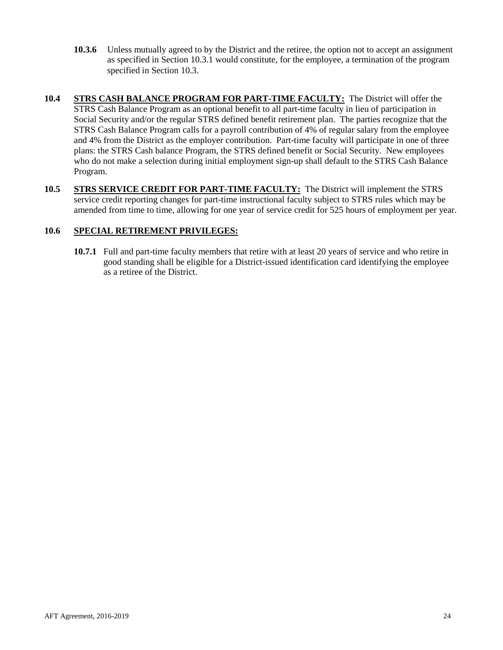- **10.3.6** Unless mutually agreed to by the District and the retiree, the option not to accept an assignment as specified in Section 10.3.1 would constitute, for the employee, a termination of the program specified in Section 10.3.
- **10.4 STRS CASH BALANCE PROGRAM FOR PART-TIME FACULTY:** The District will offer the STRS Cash Balance Program as an optional benefit to all part-time faculty in lieu of participation in Social Security and/or the regular STRS defined benefit retirement plan. The parties recognize that the STRS Cash Balance Program calls for a payroll contribution of 4% of regular salary from the employee and 4% from the District as the employer contribution. Part-time faculty will participate in one of three plans: the STRS Cash balance Program, the STRS defined benefit or Social Security. New employees who do not make a selection during initial employment sign-up shall default to the STRS Cash Balance Program.
- **10.5 STRS SERVICE CREDIT FOR PART-TIME FACULTY:** The District will implement the STRS service credit reporting changes for part-time instructional faculty subject to STRS rules which may be amended from time to time, allowing for one year of service credit for 525 hours of employment per year.

## **10.6 SPECIAL RETIREMENT PRIVILEGES:**

**10.7.1** Full and part-time faculty members that retire with at least 20 years of service and who retire in good standing shall be eligible for a District-issued identification card identifying the employee as a retiree of the District.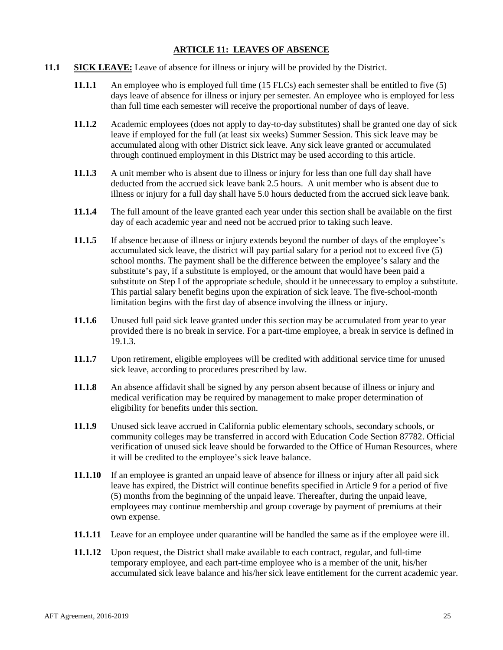## **ARTICLE 11: LEAVES OF ABSENCE**

- <span id="page-24-0"></span>**11.1 SICK LEAVE:** Leave of absence for illness or injury will be provided by the District.
	- **11.1.1** An employee who is employed full time (15 FLCs) each semester shall be entitled to five (5) days leave of absence for illness or injury per semester. An employee who is employed for less than full time each semester will receive the proportional number of days of leave.
	- **11.1.2** Academic employees (does not apply to day-to-day substitutes) shall be granted one day of sick leave if employed for the full (at least six weeks) Summer Session. This sick leave may be accumulated along with other District sick leave. Any sick leave granted or accumulated through continued employment in this District may be used according to this article.
	- **11.1.3** A unit member who is absent due to illness or injury for less than one full day shall have deducted from the accrued sick leave bank 2.5 hours. A unit member who is absent due to illness or injury for a full day shall have 5.0 hours deducted from the accrued sick leave bank.
	- **11.1.4** The full amount of the leave granted each year under this section shall be available on the first day of each academic year and need not be accrued prior to taking such leave.
	- **11.1.5** If absence because of illness or injury extends beyond the number of days of the employee's accumulated sick leave, the district will pay partial salary for a period not to exceed five (5) school months. The payment shall be the difference between the employee's salary and the substitute's pay, if a substitute is employed, or the amount that would have been paid a substitute on Step I of the appropriate schedule, should it be unnecessary to employ a substitute. This partial salary benefit begins upon the expiration of sick leave. The five-school-month limitation begins with the first day of absence involving the illness or injury.
	- **11.1.6** Unused full paid sick leave granted under this section may be accumulated from year to year provided there is no break in service. For a part-time employee, a break in service is defined in 19.1.3.
	- **11.1.7** Upon retirement, eligible employees will be credited with additional service time for unused sick leave, according to procedures prescribed by law.
	- **11.1.8** An absence affidavit shall be signed by any person absent because of illness or injury and medical verification may be required by management to make proper determination of eligibility for benefits under this section.
	- **11.1.9** Unused sick leave accrued in California public elementary schools, secondary schools, or community colleges may be transferred in accord with Education Code Section 87782. Official verification of unused sick leave should be forwarded to the Office of Human Resources, where it will be credited to the employee's sick leave balance.
	- **11.1.10** If an employee is granted an unpaid leave of absence for illness or injury after all paid sick leave has expired, the District will continue benefits specified in Article 9 for a period of five (5) months from the beginning of the unpaid leave. Thereafter, during the unpaid leave, employees may continue membership and group coverage by payment of premiums at their own expense.
	- **11.1.11** Leave for an employee under quarantine will be handled the same as if the employee were ill.
	- **11.1.12** Upon request, the District shall make available to each contract, regular, and full-time temporary employee, and each part-time employee who is a member of the unit, his/her accumulated sick leave balance and his/her sick leave entitlement for the current academic year.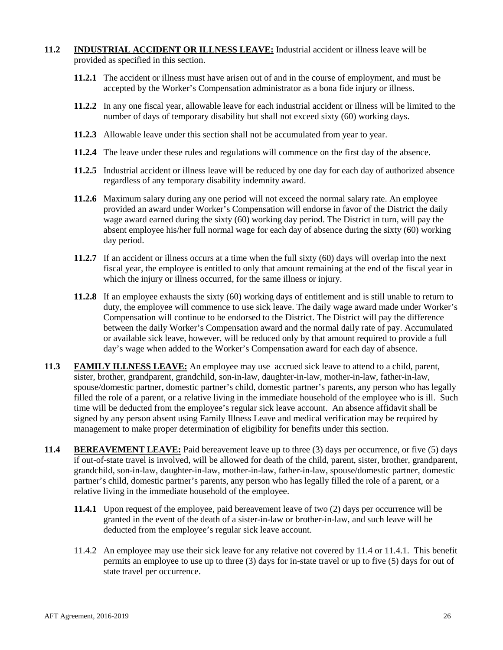## **11.2 INDUSTRIAL ACCIDENT OR ILLNESS LEAVE:** Industrial accident or illness leave will be provided as specified in this section.

- **11.2.1** The accident or illness must have arisen out of and in the course of employment, and must be accepted by the Worker's Compensation administrator as a bona fide injury or illness.
- **11.2.2** In any one fiscal year, allowable leave for each industrial accident or illness will be limited to the number of days of temporary disability but shall not exceed sixty (60) working days.
- **11.2.3** Allowable leave under this section shall not be accumulated from year to year.
- **11.2.4** The leave under these rules and regulations will commence on the first day of the absence.
- **11.2.5** Industrial accident or illness leave will be reduced by one day for each day of authorized absence regardless of any temporary disability indemnity award.
- **11.2.6** Maximum salary during any one period will not exceed the normal salary rate. An employee provided an award under Worker's Compensation will endorse in favor of the District the daily wage award earned during the sixty (60) working day period. The District in turn, will pay the absent employee his/her full normal wage for each day of absence during the sixty (60) working day period.
- **11.2.7** If an accident or illness occurs at a time when the full sixty (60) days will overlap into the next fiscal year, the employee is entitled to only that amount remaining at the end of the fiscal year in which the injury or illness occurred, for the same illness or injury.
- **11.2.8** If an employee exhausts the sixty (60) working days of entitlement and is still unable to return to duty, the employee will commence to use sick leave. The daily wage award made under Worker's Compensation will continue to be endorsed to the District. The District will pay the difference between the daily Worker's Compensation award and the normal daily rate of pay. Accumulated or available sick leave, however, will be reduced only by that amount required to provide a full day's wage when added to the Worker's Compensation award for each day of absence.
- **11.3 FAMILY ILLNESS LEAVE:** An employee may use accrued sick leave to attend to a child, parent, sister, brother, grandparent, grandchild, son-in-law, daughter-in-law, mother-in-law, father-in-law, spouse/domestic partner, domestic partner's child, domestic partner's parents, any person who has legally filled the role of a parent, or a relative living in the immediate household of the employee who is ill. Such time will be deducted from the employee's regular sick leave account. An absence affidavit shall be signed by any person absent using Family Illness Leave and medical verification may be required by management to make proper determination of eligibility for benefits under this section.
- **11.4 BEREAVEMENT LEAVE:** Paid bereavement leave up to three (3) days per occurrence, or five (5) days if out-of-state travel is involved, will be allowed for death of the child, parent, sister, brother, grandparent, grandchild, son-in-law, daughter-in-law, mother-in-law, father-in-law, spouse/domestic partner, domestic partner's child, domestic partner's parents, any person who has legally filled the role of a parent, or a relative living in the immediate household of the employee.
	- **11.4.1** Upon request of the employee, paid bereavement leave of two (2) days per occurrence will be granted in the event of the death of a sister-in-law or brother-in-law, and such leave will be deducted from the employee's regular sick leave account.
	- 11.4.2 An employee may use their sick leave for any relative not covered by 11.4 or 11.4.1. This benefit permits an employee to use up to three (3) days for in-state travel or up to five (5) days for out of state travel per occurrence.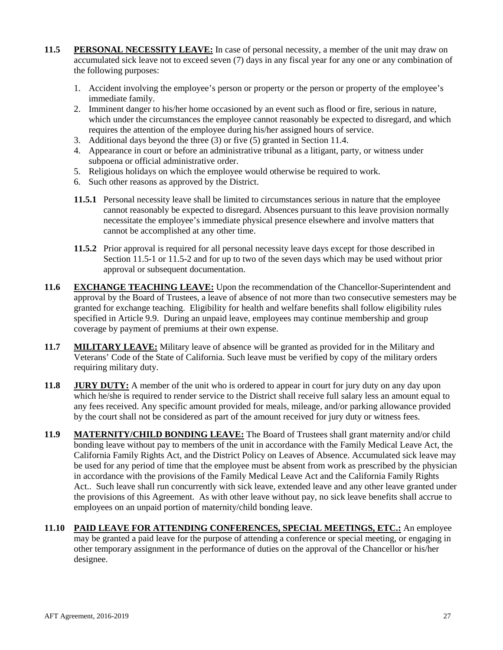- **11.5 PERSONAL NECESSITY LEAVE:** In case of personal necessity, a member of the unit may draw on accumulated sick leave not to exceed seven (7) days in any fiscal year for any one or any combination of the following purposes:
	- 1. Accident involving the employee's person or property or the person or property of the employee's immediate family.
	- 2. Imminent danger to his/her home occasioned by an event such as flood or fire, serious in nature, which under the circumstances the employee cannot reasonably be expected to disregard, and which requires the attention of the employee during his/her assigned hours of service.
	- 3. Additional days beyond the three (3) or five (5) granted in Section 11.4.
	- 4. Appearance in court or before an administrative tribunal as a litigant, party, or witness under subpoena or official administrative order.
	- 5. Religious holidays on which the employee would otherwise be required to work.
	- 6. Such other reasons as approved by the District.
	- **11.5.1** Personal necessity leave shall be limited to circumstances serious in nature that the employee cannot reasonably be expected to disregard. Absences pursuant to this leave provision normally necessitate the employee's immediate physical presence elsewhere and involve matters that cannot be accomplished at any other time.
	- **11.5.2** Prior approval is required for all personal necessity leave days except for those described in Section 11.5-1 or 11.5-2 and for up to two of the seven days which may be used without prior approval or subsequent documentation.
- **11.6 EXCHANGE TEACHING LEAVE:** Upon the recommendation of the Chancellor-Superintendent and approval by the Board of Trustees, a leave of absence of not more than two consecutive semesters may be granted for exchange teaching. Eligibility for health and welfare benefits shall follow eligibility rules specified in Article 9.9. During an unpaid leave, employees may continue membership and group coverage by payment of premiums at their own expense.
- **11.7 MILITARY LEAVE:** Military leave of absence will be granted as provided for in the Military and Veterans' Code of the State of California. Such leave must be verified by copy of the military orders requiring military duty.
- **11.8 JURY DUTY:** A member of the unit who is ordered to appear in court for jury duty on any day upon which he/she is required to render service to the District shall receive full salary less an amount equal to any fees received. Any specific amount provided for meals, mileage, and/or parking allowance provided by the court shall not be considered as part of the amount received for jury duty or witness fees.
- **11.9 MATERNITY/CHILD BONDING LEAVE:** The Board of Trustees shall grant maternity and/or child bonding leave without pay to members of the unit in accordance with the Family Medical Leave Act, the California Family Rights Act, and the District Policy on Leaves of Absence. Accumulated sick leave may be used for any period of time that the employee must be absent from work as prescribed by the physician in accordance with the provisions of the Family Medical Leave Act and the California Family Rights Act.. Such leave shall run concurrently with sick leave, extended leave and any other leave granted under the provisions of this Agreement. As with other leave without pay, no sick leave benefits shall accrue to employees on an unpaid portion of maternity/child bonding leave.
- **11.10 PAID LEAVE FOR ATTENDING CONFERENCES, SPECIAL MEETINGS, ETC.:** An employee may be granted a paid leave for the purpose of attending a conference or special meeting, or engaging in other temporary assignment in the performance of duties on the approval of the Chancellor or his/her designee.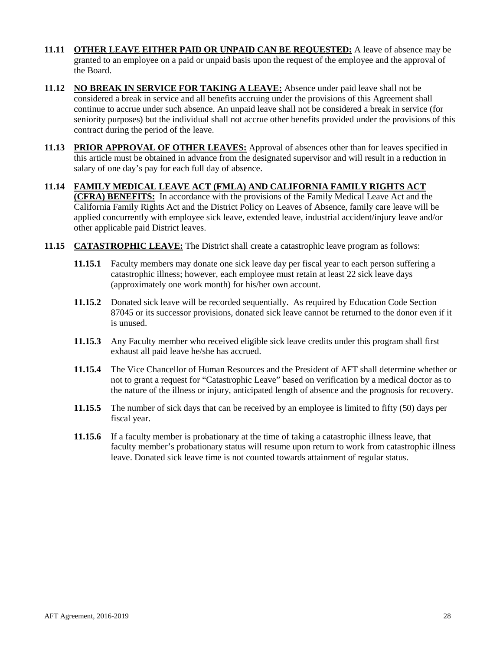- **11.11 OTHER LEAVE EITHER PAID OR UNPAID CAN BE REQUESTED:** A leave of absence may be granted to an employee on a paid or unpaid basis upon the request of the employee and the approval of the Board.
- **11.12 NO BREAK IN SERVICE FOR TAKING A LEAVE:** Absence under paid leave shall not be considered a break in service and all benefits accruing under the provisions of this Agreement shall continue to accrue under such absence. An unpaid leave shall not be considered a break in service (for seniority purposes) but the individual shall not accrue other benefits provided under the provisions of this contract during the period of the leave.
- **11.13 PRIOR APPROVAL OF OTHER LEAVES:** Approval of absences other than for leaves specified in this article must be obtained in advance from the designated supervisor and will result in a reduction in salary of one day's pay for each full day of absence.
- **11.14 FAMILY MEDICAL LEAVE ACT (FMLA) AND CALIFORNIA FAMILY RIGHTS ACT (CFRA) BENEFITS:** In accordance with the provisions of the Family Medical Leave Act and the California Family Rights Act and the District Policy on Leaves of Absence, family care leave will be applied concurrently with employee sick leave, extended leave, industrial accident/injury leave and/or other applicable paid District leaves.
- **11.15 CATASTROPHIC LEAVE:** The District shall create a catastrophic leave program as follows:
	- **11.15.1** Faculty members may donate one sick leave day per fiscal year to each person suffering a catastrophic illness; however, each employee must retain at least 22 sick leave days (approximately one work month) for his/her own account.
	- **11.15.2** Donated sick leave will be recorded sequentially. As required by Education Code Section 87045 or its successor provisions, donated sick leave cannot be returned to the donor even if it is unused.
	- **11.15.3** Any Faculty member who received eligible sick leave credits under this program shall first exhaust all paid leave he/she has accrued.
	- **11.15.4** The Vice Chancellor of Human Resources and the President of AFT shall determine whether or not to grant a request for "Catastrophic Leave" based on verification by a medical doctor as to the nature of the illness or injury, anticipated length of absence and the prognosis for recovery.
	- **11.15.5** The number of sick days that can be received by an employee is limited to fifty (50) days per fiscal year.
	- **11.15.6** If a faculty member is probationary at the time of taking a catastrophic illness leave, that faculty member's probationary status will resume upon return to work from catastrophic illness leave. Donated sick leave time is not counted towards attainment of regular status.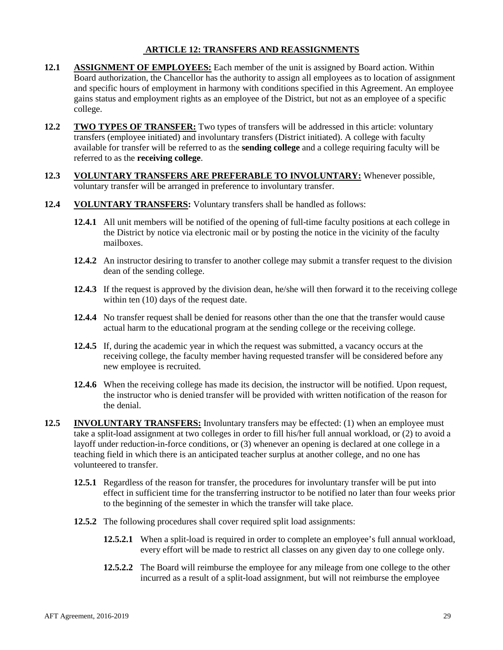## <span id="page-28-0"></span>**ARTICLE 12: TRANSFERS AND REASSIGNMENTS**

- **12.1 ASSIGNMENT OF EMPLOYEES:** Each member of the unit is assigned by Board action. Within Board authorization, the Chancellor has the authority to assign all employees as to location of assignment and specific hours of employment in harmony with conditions specified in this Agreement. An employee gains status and employment rights as an employee of the District, but not as an employee of a specific college.
- **12.2 TWO TYPES OF TRANSFER:** Two types of transfers will be addressed in this article: voluntary transfers (employee initiated) and involuntary transfers (District initiated). A college with faculty available for transfer will be referred to as the **sending college** and a college requiring faculty will be referred to as the **receiving college**.
- **12.3 VOLUNTARY TRANSFERS ARE PREFERABLE TO INVOLUNTARY:** Whenever possible, voluntary transfer will be arranged in preference to involuntary transfer.
- **12.4 VOLUNTARY TRANSFERS:** Voluntary transfers shall be handled as follows:
	- **12.4.1** All unit members will be notified of the opening of full-time faculty positions at each college in the District by notice via electronic mail or by posting the notice in the vicinity of the faculty mailboxes.
	- **12.4.2** An instructor desiring to transfer to another college may submit a transfer request to the division dean of the sending college.
	- **12.4.3** If the request is approved by the division dean, he/she will then forward it to the receiving college within ten  $(10)$  days of the request date.
	- **12.4.4** No transfer request shall be denied for reasons other than the one that the transfer would cause actual harm to the educational program at the sending college or the receiving college.
	- **12.4.5** If, during the academic year in which the request was submitted, a vacancy occurs at the receiving college, the faculty member having requested transfer will be considered before any new employee is recruited.
	- **12.4.6** When the receiving college has made its decision, the instructor will be notified. Upon request, the instructor who is denied transfer will be provided with written notification of the reason for the denial.
- **12.5 INVOLUNTARY TRANSFERS:** Involuntary transfers may be effected: (1) when an employee must take a split-load assignment at two colleges in order to fill his/her full annual workload, or (2) to avoid a layoff under reduction-in-force conditions, or (3) whenever an opening is declared at one college in a teaching field in which there is an anticipated teacher surplus at another college, and no one has volunteered to transfer.
	- **12.5.1** Regardless of the reason for transfer, the procedures for involuntary transfer will be put into effect in sufficient time for the transferring instructor to be notified no later than four weeks prior to the beginning of the semester in which the transfer will take place.
	- **12.5.2** The following procedures shall cover required split load assignments:
		- **12.5.2.1** When a split-load is required in order to complete an employee's full annual workload, every effort will be made to restrict all classes on any given day to one college only.
		- **12.5.2.2** The Board will reimburse the employee for any mileage from one college to the other incurred as a result of a split-load assignment, but will not reimburse the employee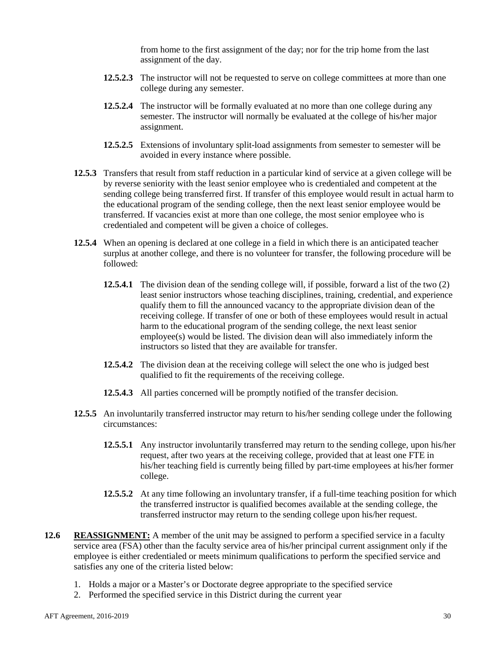from home to the first assignment of the day; nor for the trip home from the last assignment of the day.

- **12.5.2.3** The instructor will not be requested to serve on college committees at more than one college during any semester.
- **12.5.2.4** The instructor will be formally evaluated at no more than one college during any semester. The instructor will normally be evaluated at the college of his/her major assignment.
- **12.5.2.5** Extensions of involuntary split-load assignments from semester to semester will be avoided in every instance where possible.
- **12.5.3** Transfers that result from staff reduction in a particular kind of service at a given college will be by reverse seniority with the least senior employee who is credentialed and competent at the sending college being transferred first. If transfer of this employee would result in actual harm to the educational program of the sending college, then the next least senior employee would be transferred. If vacancies exist at more than one college, the most senior employee who is credentialed and competent will be given a choice of colleges.
- **12.5.4** When an opening is declared at one college in a field in which there is an anticipated teacher surplus at another college, and there is no volunteer for transfer, the following procedure will be followed:
	- **12.5.4.1** The division dean of the sending college will, if possible, forward a list of the two (2) least senior instructors whose teaching disciplines, training, credential, and experience qualify them to fill the announced vacancy to the appropriate division dean of the receiving college. If transfer of one or both of these employees would result in actual harm to the educational program of the sending college, the next least senior employee(s) would be listed. The division dean will also immediately inform the instructors so listed that they are available for transfer.
	- **12.5.4.2** The division dean at the receiving college will select the one who is judged best qualified to fit the requirements of the receiving college.
	- **12.5.4.3** All parties concerned will be promptly notified of the transfer decision.
- **12.5.5** An involuntarily transferred instructor may return to his/her sending college under the following circumstances:
	- **12.5.5.1** Any instructor involuntarily transferred may return to the sending college, upon his/her request, after two years at the receiving college, provided that at least one FTE in his/her teaching field is currently being filled by part-time employees at his/her former college.
	- **12.5.5.2** At any time following an involuntary transfer, if a full-time teaching position for which the transferred instructor is qualified becomes available at the sending college, the transferred instructor may return to the sending college upon his/her request.
- **12.6 REASSIGNMENT:** A member of the unit may be assigned to perform a specified service in a faculty service area (FSA) other than the faculty service area of his/her principal current assignment only if the employee is either credentialed or meets minimum qualifications to perform the specified service and satisfies any one of the criteria listed below:
	- 1. Holds a major or a Master's or Doctorate degree appropriate to the specified service
	- 2. Performed the specified service in this District during the current year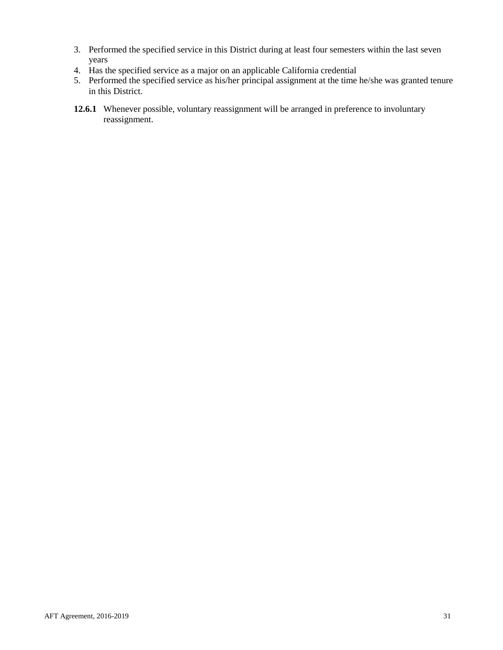- 3. Performed the specified service in this District during at least four semesters within the last seven years
- 4. Has the specified service as a major on an applicable California credential
- 5. Performed the specified service as his/her principal assignment at the time he/she was granted tenure in this District.
- **12.6.1** Whenever possible, voluntary reassignment will be arranged in preference to involuntary reassignment.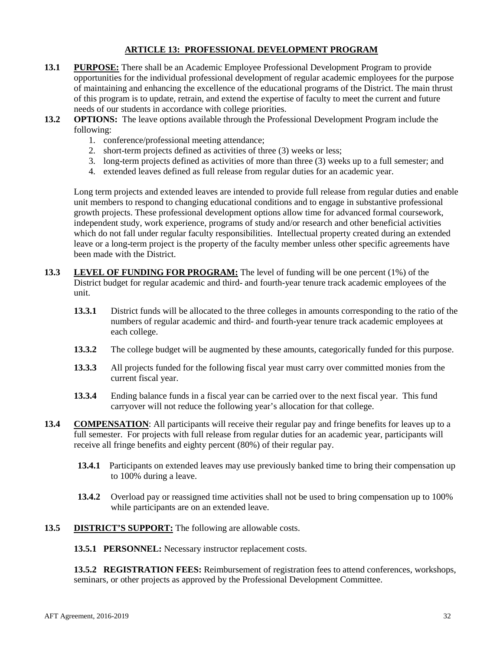## **ARTICLE 13: PROFESSIONAL DEVELOPMENT PROGRAM**

- <span id="page-31-0"></span>**13.1 PURPOSE:** There shall be an Academic Employee Professional Development Program to provide opportunities for the individual professional development of regular academic employees for the purpose of maintaining and enhancing the excellence of the educational programs of the District. The main thrust of this program is to update, retrain, and extend the expertise of faculty to meet the current and future needs of our students in accordance with college priorities.
- **13.2 <b>OPTIONS:** The leave options available through the Professional Development Program include the following:
	- 1. conference/professional meeting attendance;
	- 2. short-term projects defined as activities of three (3) weeks or less;
	- 3. long-term projects defined as activities of more than three (3) weeks up to a full semester; and
	- 4. extended leaves defined as full release from regular duties for an academic year.

Long term projects and extended leaves are intended to provide full release from regular duties and enable unit members to respond to changing educational conditions and to engage in substantive professional growth projects. These professional development options allow time for advanced formal coursework, independent study, work experience, programs of study and/or research and other beneficial activities which do not fall under regular faculty responsibilities. Intellectual property created during an extended leave or a long-term project is the property of the faculty member unless other specific agreements have been made with the District.

- **13.3 LEVEL OF FUNDING FOR PROGRAM:** The level of funding will be one percent (1%) of the District budget for regular academic and third- and fourth-year tenure track academic employees of the unit.
	- **13.3.1** District funds will be allocated to the three colleges in amounts corresponding to the ratio of the numbers of regular academic and third- and fourth-year tenure track academic employees at each college.
	- **13.3.2** The college budget will be augmented by these amounts, categorically funded for this purpose.
	- **13.3.3** All projects funded for the following fiscal year must carry over committed monies from the current fiscal year.
	- **13.3.4** Ending balance funds in a fiscal year can be carried over to the next fiscal year. This fund carryover will not reduce the following year's allocation for that college.
- **13.4 COMPENSATION:** All participants will receive their regular pay and fringe benefits for leaves up to a full semester. For projects with full release from regular duties for an academic year, participants will receive all fringe benefits and eighty percent (80%) of their regular pay.
	- **13.4.1** Participants on extended leaves may use previously banked time to bring their compensation up to 100% during a leave.
	- **13.4.2** Overload pay or reassigned time activities shall not be used to bring compensation up to 100% while participants are on an extended leave.
- **13.5 DISTRICT'S SUPPORT:** The following are allowable costs.

**13.5.1 PERSONNEL:** Necessary instructor replacement costs.

**13.5.2 REGISTRATION FEES:** Reimbursement of registration fees to attend conferences, workshops, seminars, or other projects as approved by the Professional Development Committee.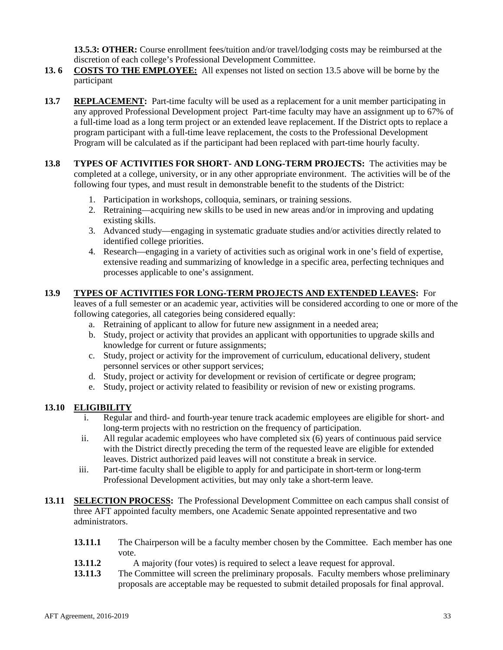**13.5.3: OTHER:** Course enrollment fees/tuition and/or travel/lodging costs may be reimbursed at the discretion of each college's Professional Development Committee.

- **13. 6 COSTS TO THE EMPLOYEE:** All expenses not listed on section 13.5 above will be borne by the participant
- **13.7 REPLACEMENT:** Part-time faculty will be used as a replacement for a unit member participating in any approved Professional Development project Part-time faculty may have an assignment up to 67% of a full-time load as a long term project or an extended leave replacement. If the District opts to replace a program participant with a full-time leave replacement, the costs to the Professional Development Program will be calculated as if the participant had been replaced with part-time hourly faculty.
- **13.8 TYPES OF ACTIVITIES FOR SHORT- AND LONG-TERM PROJECTS:** The activities may be completed at a college, university, or in any other appropriate environment. The activities will be of the following four types, and must result in demonstrable benefit to the students of the District:
	- 1. Participation in workshops, colloquia, seminars, or training sessions.
	- 2. Retraining—acquiring new skills to be used in new areas and/or in improving and updating existing skills.
	- 3. Advanced study—engaging in systematic graduate studies and/or activities directly related to identified college priorities.
	- 4. Research—engaging in a variety of activities such as original work in one's field of expertise, extensive reading and summarizing of knowledge in a specific area, perfecting techniques and processes applicable to one's assignment.

## **13.9 TYPES OF ACTIVITIES FOR LONG-TERM PROJECTS AND EXTENDED LEAVES:** For

leaves of a full semester or an academic year, activities will be considered according to one or more of the following categories, all categories being considered equally:

- a. Retraining of applicant to allow for future new assignment in a needed area;
- b. Study, project or activity that provides an applicant with opportunities to upgrade skills and knowledge for current or future assignments;
- c. Study, project or activity for the improvement of curriculum, educational delivery, student personnel services or other support services;
- d. Study, project or activity for development or revision of certificate or degree program;
- e. Study, project or activity related to feasibility or revision of new or existing programs.

## **13.10 ELIGIBILITY**

- i. Regular and third- and fourth-year tenure track academic employees are eligible for short- and long-term projects with no restriction on the frequency of participation.
- ii. All regular academic employees who have completed six (6) years of continuous paid service with the District directly preceding the term of the requested leave are eligible for extended leaves. District authorized paid leaves will not constitute a break in service.
- iii. Part-time faculty shall be eligible to apply for and participate in short-term or long-term Professional Development activities, but may only take a short-term leave.
- **13.11 SELECTION PROCESS:** The Professional Development Committee on each campus shall consist of three AFT appointed faculty members, one Academic Senate appointed representative and two administrators.
	- **13.11.1** The Chairperson will be a faculty member chosen by the Committee. Each member has one vote.
	- **13.11.2** A majority (four votes) is required to select a leave request for approval.<br>**13.11.3** The Committee will screen the preliminary proposals. Faculty members who
	- The Committee will screen the preliminary proposals. Faculty members whose preliminary proposals are acceptable may be requested to submit detailed proposals for final approval.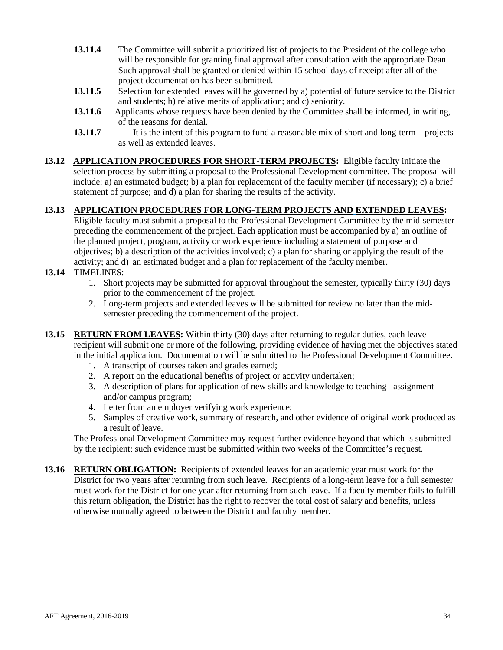- **13.11.4** The Committee will submit a prioritized list of projects to the President of the college who will be responsible for granting final approval after consultation with the appropriate Dean. Such approval shall be granted or denied within 15 school days of receipt after all of the project documentation has been submitted.
- 13.11.5 Selection for extended leaves will be governed by a) potential of future service to the District and students; b) relative merits of application; and c) seniority.
- **13.11.6** Applicants whose requests have been denied by the Committee shall be informed, in writing, of the reasons for denial.
- **13.11.7** It is the intent of this program to fund a reasonable mix of short and long-term projects as well as extended leaves.
- **13.12 APPLICATION PROCEDURES FOR SHORT-TERM PROJECTS:** Eligible faculty initiate the selection process by submitting a proposal to the Professional Development committee. The proposal will include: a) an estimated budget; b) a plan for replacement of the faculty member (if necessary); c) a brief statement of purpose; and d) a plan for sharing the results of the activity.

## **13.13 APPLICATION PROCEDURES FOR LONG-TERM PROJECTS AND EXTENDED LEAVES:**

Eligible faculty must submit a proposal to the Professional Development Committee by the mid-semester preceding the commencement of the project. Each application must be accompanied by a) an outline of the planned project, program, activity or work experience including a statement of purpose and objectives; b) a description of the activities involved; c) a plan for sharing or applying the result of the activity; and d) an estimated budget and a plan for replacement of the faculty member.

## **13.14** TIMELINES:

- 1. Short projects may be submitted for approval throughout the semester, typically thirty (30) days prior to the commencement of the project.
- 2. Long-term projects and extended leaves will be submitted for review no later than the midsemester preceding the commencement of the project.
- **13.15 RETURN FROM LEAVES:** Within thirty (30) days after returning to regular duties, each leave recipient will submit one or more of the following, providing evidence of having met the objectives stated in the initial application. Documentation will be submitted to the Professional Development Committee**.** 
	- 1. A transcript of courses taken and grades earned;
	- 2. A report on the educational benefits of project or activity undertaken;
	- 3. A description of plans for application of new skills and knowledge to teaching assignment and/or campus program;
	- 4. Letter from an employer verifying work experience;
	- 5. Samples of creative work, summary of research, and other evidence of original work produced as a result of leave.

The Professional Development Committee may request further evidence beyond that which is submitted by the recipient; such evidence must be submitted within two weeks of the Committee's request.

**13.16 RETURN OBLIGATION:** Recipients of extended leaves for an academic year must work for the District for two years after returning from such leave. Recipients of a long-term leave for a full semester must work for the District for one year after returning from such leave. If a faculty member fails to fulfill this return obligation, the District has the right to recover the total cost of salary and benefits, unless otherwise mutually agreed to between the District and faculty member**.**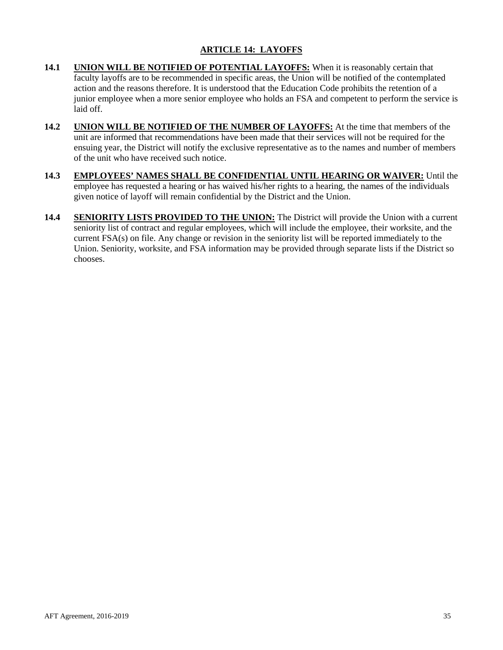## **ARTICLE 14: LAYOFFS**

- <span id="page-34-0"></span>**14.1 UNION WILL BE NOTIFIED OF POTENTIAL LAYOFFS:** When it is reasonably certain that faculty layoffs are to be recommended in specific areas, the Union will be notified of the contemplated action and the reasons therefore. It is understood that the Education Code prohibits the retention of a junior employee when a more senior employee who holds an FSA and competent to perform the service is laid off.
- **14.2 UNION WILL BE NOTIFIED OF THE NUMBER OF LAYOFFS:** At the time that members of the unit are informed that recommendations have been made that their services will not be required for the ensuing year, the District will notify the exclusive representative as to the names and number of members of the unit who have received such notice.
- **14.3 EMPLOYEES' NAMES SHALL BE CONFIDENTIAL UNTIL HEARING OR WAIVER:** Until the employee has requested a hearing or has waived his/her rights to a hearing, the names of the individuals given notice of layoff will remain confidential by the District and the Union.
- **14.4 SENIORITY LISTS PROVIDED TO THE UNION:** The District will provide the Union with a current seniority list of contract and regular employees, which will include the employee, their worksite, and the current FSA(s) on file. Any change or revision in the seniority list will be reported immediately to the Union. Seniority, worksite, and FSA information may be provided through separate lists if the District so chooses.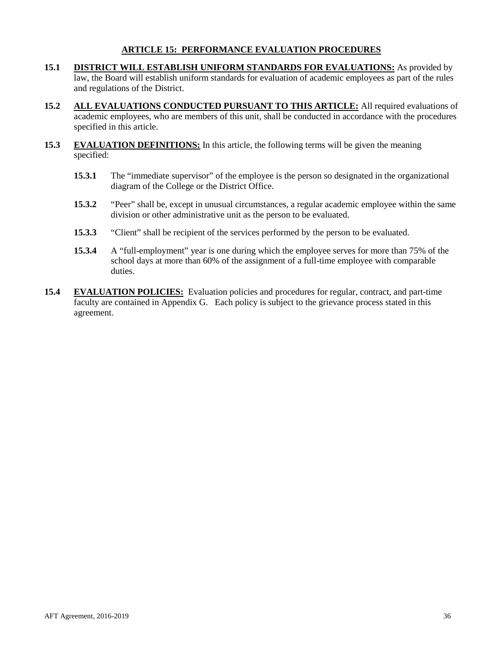## **ARTICLE 15: PERFORMANCE EVALUATION PROCEDURES**

- <span id="page-35-0"></span>**15.1 DISTRICT WILL ESTABLISH UNIFORM STANDARDS FOR EVALUATIONS:** As provided by law, the Board will establish uniform standards for evaluation of academic employees as part of the rules and regulations of the District.
- **15.2 ALL EVALUATIONS CONDUCTED PURSUANT TO THIS ARTICLE:** All required evaluations of academic employees, who are members of this unit, shall be conducted in accordance with the procedures specified in this article.
- **15.3 EVALUATION DEFINITIONS:** In this article, the following terms will be given the meaning specified:
	- **15.3.1** The "immediate supervisor" of the employee is the person so designated in the organizational diagram of the College or the District Office.
	- **15.3.2** "Peer" shall be, except in unusual circumstances, a regular academic employee within the same division or other administrative unit as the person to be evaluated.
	- **15.3.3** "Client" shall be recipient of the services performed by the person to be evaluated.
	- **15.3.4** A "full-employment" year is one during which the employee serves for more than 75% of the school days at more than 60% of the assignment of a full-time employee with comparable duties.
- **15.4 EVALUATION POLICIES:** Evaluation policies and procedures for regular, contract, and part-time faculty are contained in Appendix G. Each policy is subject to the grievance process stated in this agreement.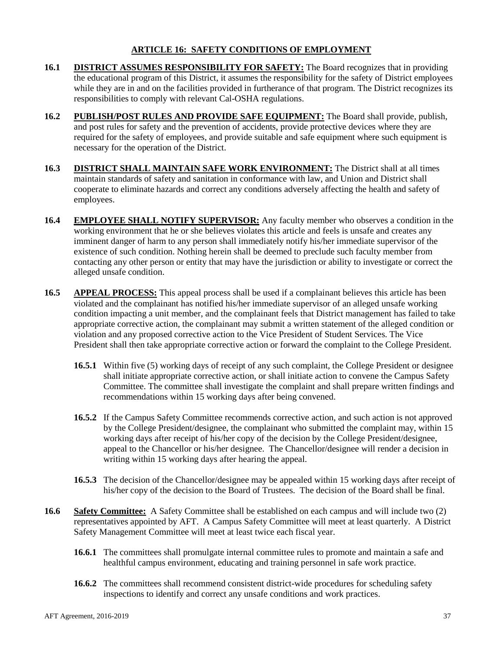## **ARTICLE 16: SAFETY CONDITIONS OF EMPLOYMENT**

- <span id="page-36-0"></span>**16.1 DISTRICT ASSUMES RESPONSIBILITY FOR SAFETY:** The Board recognizes that in providing the educational program of this District, it assumes the responsibility for the safety of District employees while they are in and on the facilities provided in furtherance of that program. The District recognizes its responsibilities to comply with relevant Cal-OSHA regulations.
- **16.2 PUBLISH/POST RULES AND PROVIDE SAFE EQUIPMENT:** The Board shall provide, publish, and post rules for safety and the prevention of accidents, provide protective devices where they are required for the safety of employees, and provide suitable and safe equipment where such equipment is necessary for the operation of the District.
- **16.3 DISTRICT SHALL MAINTAIN SAFE WORK ENVIRONMENT:** The District shall at all times maintain standards of safety and sanitation in conformance with law, and Union and District shall cooperate to eliminate hazards and correct any conditions adversely affecting the health and safety of employees.
- **16.4 EMPLOYEE SHALL NOTIFY SUPERVISOR:** Any faculty member who observes a condition in the working environment that he or she believes violates this article and feels is unsafe and creates any imminent danger of harm to any person shall immediately notify his/her immediate supervisor of the existence of such condition. Nothing herein shall be deemed to preclude such faculty member from contacting any other person or entity that may have the jurisdiction or ability to investigate or correct the alleged unsafe condition.
- **16.5 APPEAL PROCESS:** This appeal process shall be used if a complainant believes this article has been violated and the complainant has notified his/her immediate supervisor of an alleged unsafe working condition impacting a unit member, and the complainant feels that District management has failed to take appropriate corrective action, the complainant may submit a written statement of the alleged condition or violation and any proposed corrective action to the Vice President of Student Services. The Vice President shall then take appropriate corrective action or forward the complaint to the College President.
	- **16.5.1** Within five (5) working days of receipt of any such complaint, the College President or designee shall initiate appropriate corrective action, or shall initiate action to convene the Campus Safety Committee. The committee shall investigate the complaint and shall prepare written findings and recommendations within 15 working days after being convened.
	- **16.5.2** If the Campus Safety Committee recommends corrective action, and such action is not approved by the College President/designee, the complainant who submitted the complaint may, within 15 working days after receipt of his/her copy of the decision by the College President/designee, appeal to the Chancellor or his/her designee. The Chancellor/designee will render a decision in writing within 15 working days after hearing the appeal.
	- **16.5.3** The decision of the Chancellor/designee may be appealed within 15 working days after receipt of his/her copy of the decision to the Board of Trustees. The decision of the Board shall be final.
- **16.6 Safety Committee:** A Safety Committee shall be established on each campus and will include two (2) representatives appointed by AFT. A Campus Safety Committee will meet at least quarterly. A District Safety Management Committee will meet at least twice each fiscal year.
	- **16.6.1** The committees shall promulgate internal committee rules to promote and maintain a safe and healthful campus environment, educating and training personnel in safe work practice.
	- **16.6.2** The committees shall recommend consistent district-wide procedures for scheduling safety inspections to identify and correct any unsafe conditions and work practices.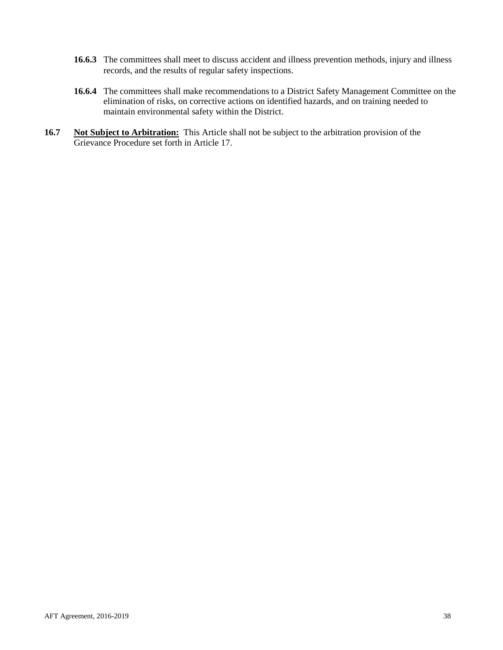- **16.6.3** The committees shall meet to discuss accident and illness prevention methods, injury and illness records, and the results of regular safety inspections.
- **16.6.4** The committees shall make recommendations to a District Safety Management Committee on the elimination of risks, on corrective actions on identified hazards, and on training needed to maintain environmental safety within the District.
- **16.7 Not Subject to Arbitration:** This Article shall not be subject to the arbitration provision of the Grievance Procedure set forth in Article 17.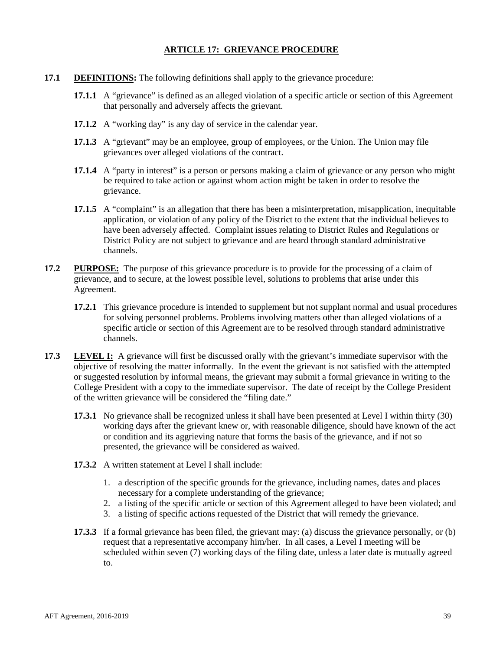## **ARTICLE 17: GRIEVANCE PROCEDURE**

- **17.1 DEFINITIONS:** The following definitions shall apply to the grievance procedure:
	- **17.1.1** A "grievance" is defined as an alleged violation of a specific article or section of this Agreement that personally and adversely affects the grievant.
	- **17.1.2** A "working day" is any day of service in the calendar year.
	- **17.1.3** A "grievant" may be an employee, group of employees, or the Union. The Union may file grievances over alleged violations of the contract.
	- **17.1.4** A "party in interest" is a person or persons making a claim of grievance or any person who might be required to take action or against whom action might be taken in order to resolve the grievance.
	- **17.1.5** A "complaint" is an allegation that there has been a misinterpretation, misapplication, inequitable application, or violation of any policy of the District to the extent that the individual believes to have been adversely affected. Complaint issues relating to District Rules and Regulations or District Policy are not subject to grievance and are heard through standard administrative channels.
- **17.2 PURPOSE:** The purpose of this grievance procedure is to provide for the processing of a claim of grievance, and to secure, at the lowest possible level, solutions to problems that arise under this Agreement.
	- **17.2.1** This grievance procedure is intended to supplement but not supplant normal and usual procedures for solving personnel problems. Problems involving matters other than alleged violations of a specific article or section of this Agreement are to be resolved through standard administrative channels.
- **17.3 LEVEL I:** A grievance will first be discussed orally with the grievant's immediate supervisor with the objective of resolving the matter informally. In the event the grievant is not satisfied with the attempted or suggested resolution by informal means, the grievant may submit a formal grievance in writing to the College President with a copy to the immediate supervisor. The date of receipt by the College President of the written grievance will be considered the "filing date."
	- **17.3.1** No grievance shall be recognized unless it shall have been presented at Level I within thirty (30) working days after the grievant knew or, with reasonable diligence, should have known of the act or condition and its aggrieving nature that forms the basis of the grievance, and if not so presented, the grievance will be considered as waived.
	- **17.3.2** A written statement at Level I shall include:
		- 1. a description of the specific grounds for the grievance, including names, dates and places necessary for a complete understanding of the grievance;
		- 2. a listing of the specific article or section of this Agreement alleged to have been violated; and
		- 3. a listing of specific actions requested of the District that will remedy the grievance.
	- **17.3.3** If a formal grievance has been filed, the grievant may: (a) discuss the grievance personally, or (b) request that a representative accompany him/her. In all cases, a Level I meeting will be scheduled within seven (7) working days of the filing date, unless a later date is mutually agreed to.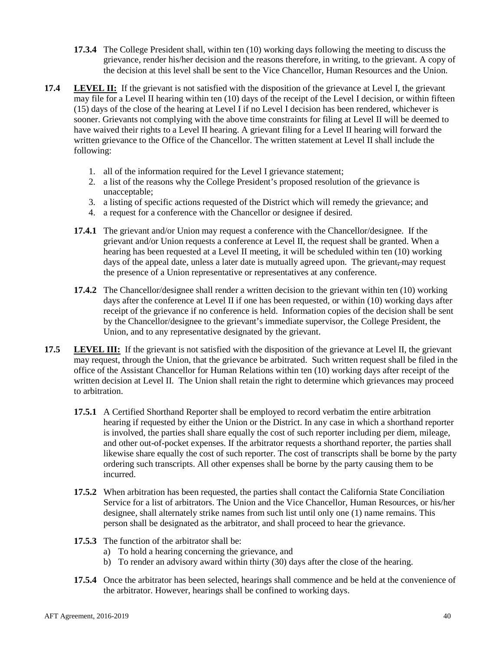- **17.3.4** The College President shall, within ten (10) working days following the meeting to discuss the grievance, render his/her decision and the reasons therefore, in writing, to the grievant. A copy of the decision at this level shall be sent to the Vice Chancellor, Human Resources and the Union.
- **17.4 LEVEL II:** If the grievant is not satisfied with the disposition of the grievance at Level I, the grievant may file for a Level II hearing within ten (10) days of the receipt of the Level I decision, or within fifteen (15) days of the close of the hearing at Level I if no Level I decision has been rendered, whichever is sooner. Grievants not complying with the above time constraints for filing at Level II will be deemed to have waived their rights to a Level II hearing. A grievant filing for a Level II hearing will forward the written grievance to the Office of the Chancellor. The written statement at Level II shall include the following:
	- 1. all of the information required for the Level I grievance statement;
	- 2. a list of the reasons why the College President's proposed resolution of the grievance is unacceptable;
	- 3. a listing of specific actions requested of the District which will remedy the grievance; and
	- 4. a request for a conference with the Chancellor or designee if desired.
	- **17.4.1** The grievant and/or Union may request a conference with the Chancellor/designee. If the grievant and/or Union requests a conference at Level II, the request shall be granted. When a hearing has been requested at a Level II meeting, it will be scheduled within ten (10) working days of the appeal date, unless a later date is mutually agreed upon. The grievant, may request the presence of a Union representative or representatives at any conference.
	- **17.4.2** The Chancellor/designee shall render a written decision to the grievant within ten (10) working days after the conference at Level II if one has been requested, or within (10) working days after receipt of the grievance if no conference is held. Information copies of the decision shall be sent by the Chancellor/designee to the grievant's immediate supervisor, the College President, the Union, and to any representative designated by the grievant.
- **17.5 LEVEL III:** If the grievant is not satisfied with the disposition of the grievance at Level II, the grievant may request, through the Union, that the grievance be arbitrated. Such written request shall be filed in the office of the Assistant Chancellor for Human Relations within ten (10) working days after receipt of the written decision at Level II. The Union shall retain the right to determine which grievances may proceed to arbitration.
	- **17.5.1** A Certified Shorthand Reporter shall be employed to record verbatim the entire arbitration hearing if requested by either the Union or the District. In any case in which a shorthand reporter is involved, the parties shall share equally the cost of such reporter including per diem, mileage, and other out-of-pocket expenses. If the arbitrator requests a shorthand reporter, the parties shall likewise share equally the cost of such reporter. The cost of transcripts shall be borne by the party ordering such transcripts. All other expenses shall be borne by the party causing them to be incurred.
	- **17.5.2** When arbitration has been requested, the parties shall contact the California State Conciliation Service for a list of arbitrators. The Union and the Vice Chancellor, Human Resources, or his/her designee, shall alternately strike names from such list until only one (1) name remains. This person shall be designated as the arbitrator, and shall proceed to hear the grievance.
	- **17.5.3** The function of the arbitrator shall be:
		- a) To hold a hearing concerning the grievance, and
		- b) To render an advisory award within thirty (30) days after the close of the hearing.
	- **17.5.4** Once the arbitrator has been selected, hearings shall commence and be held at the convenience of the arbitrator. However, hearings shall be confined to working days.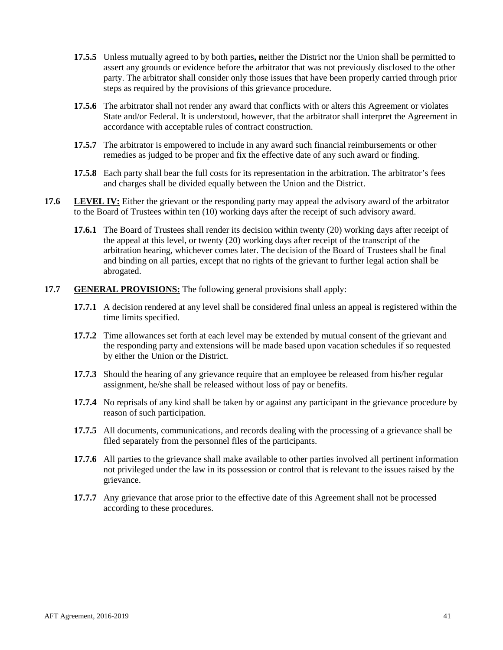- **17.5.5** Unless mutually agreed to by both parties**, n**either the District nor the Union shall be permitted to assert any grounds or evidence before the arbitrator that was not previously disclosed to the other party. The arbitrator shall consider only those issues that have been properly carried through prior steps as required by the provisions of this grievance procedure.
- **17.5.6** The arbitrator shall not render any award that conflicts with or alters this Agreement or violates State and/or Federal. It is understood, however, that the arbitrator shall interpret the Agreement in accordance with acceptable rules of contract construction.
- **17.5.7** The arbitrator is empowered to include in any award such financial reimbursements or other remedies as judged to be proper and fix the effective date of any such award or finding.
- **17.5.8** Each party shall bear the full costs for its representation in the arbitration. The arbitrator's fees and charges shall be divided equally between the Union and the District.
- **17.6 LEVEL IV:** Either the grievant or the responding party may appeal the advisory award of the arbitrator to the Board of Trustees within ten (10) working days after the receipt of such advisory award.
	- **17.6.1** The Board of Trustees shall render its decision within twenty (20) working days after receipt of the appeal at this level, or twenty (20) working days after receipt of the transcript of the arbitration hearing, whichever comes later. The decision of the Board of Trustees shall be final and binding on all parties, except that no rights of the grievant to further legal action shall be abrogated.
- **17.7 GENERAL PROVISIONS:** The following general provisions shall apply:
	- **17.7.1** A decision rendered at any level shall be considered final unless an appeal is registered within the time limits specified.
	- **17.7.2** Time allowances set forth at each level may be extended by mutual consent of the grievant and the responding party and extensions will be made based upon vacation schedules if so requested by either the Union or the District.
	- **17.7.3** Should the hearing of any grievance require that an employee be released from his/her regular assignment, he/she shall be released without loss of pay or benefits.
	- **17.7.4** No reprisals of any kind shall be taken by or against any participant in the grievance procedure by reason of such participation.
	- **17.7.5** All documents, communications, and records dealing with the processing of a grievance shall be filed separately from the personnel files of the participants.
	- **17.7.6** All parties to the grievance shall make available to other parties involved all pertinent information not privileged under the law in its possession or control that is relevant to the issues raised by the grievance.
	- **17.7.7** Any grievance that arose prior to the effective date of this Agreement shall not be processed according to these procedures.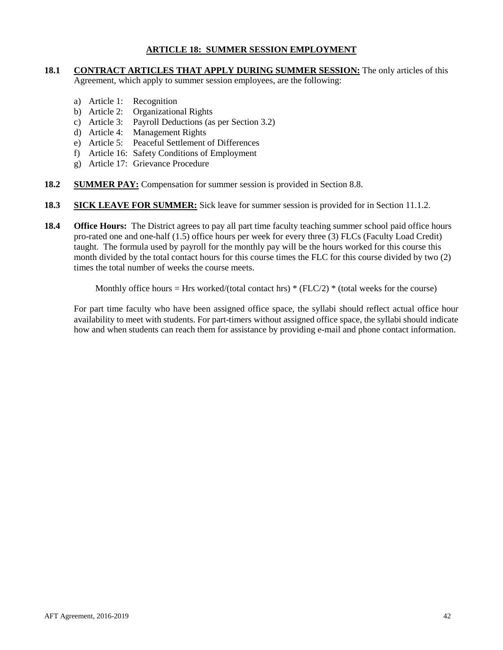## **ARTICLE 18: SUMMER SESSION EMPLOYMENT**

## <span id="page-41-0"></span>**18.1 CONTRACT ARTICLES THAT APPLY DURING SUMMER SESSION:** The only articles of this Agreement, which apply to summer session employees, are the following:

- a) Article 1: Recognition
- b) Article 2: Organizational Rights
- c) Article 3: Payroll Deductions (as per Section 3.2)
- d) Article 4: Management Rights
- e) Article 5: Peaceful Settlement of Differences
- f) Article 16: Safety Conditions of Employment
- g) Article 17: Grievance Procedure
- **18.2 SUMMER PAY:** Compensation for summer session is provided in Section 8.8.
- **18.3 SICK LEAVE FOR SUMMER:** Sick leave for summer session is provided for in Section 11.1.2.
- **18.4 Office Hours:** The District agrees to pay all part time faculty teaching summer school paid office hours pro-rated one and one-half (1.5) office hours per week for every three (3) FLCs (Faculty Load Credit) taught. The formula used by payroll for the monthly pay will be the hours worked for this course this month divided by the total contact hours for this course times the FLC for this course divided by two (2) times the total number of weeks the course meets.

Monthly office hours = Hrs worked/(total contact hrs)  $*(FLC/2) * (total weeks for the course)$ 

For part time faculty who have been assigned office space, the syllabi should reflect actual office hour availability to meet with students. For part-timers without assigned office space, the syllabi should indicate how and when students can reach them for assistance by providing e-mail and phone contact information.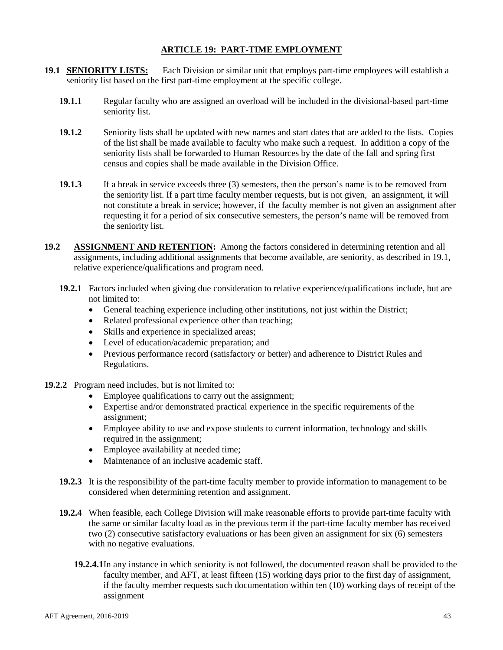## **ARTICLE 19: PART-TIME EMPLOYMENT**

- **19.1 SENIORITY LISTS:** Each Division or similar unit that employs part-time employees will establish a seniority list based on the first part-time employment at the specific college.
	- **19.1.1** Regular faculty who are assigned an overload will be included in the divisional-based part-time seniority list.
	- **19.1.2** Seniority lists shall be updated with new names and start dates that are added to the lists. Copies of the list shall be made available to faculty who make such a request. In addition a copy of the seniority lists shall be forwarded to Human Resources by the date of the fall and spring first census and copies shall be made available in the Division Office.
	- **19.1.3** If a break in service exceeds three (3) semesters, then the person's name is to be removed from the seniority list. If a part time faculty member requests, but is not given, an assignment, it will not constitute a break in service; however, if the faculty member is not given an assignment after requesting it for a period of six consecutive semesters, the person's name will be removed from the seniority list.
- **19.2 ASSIGNMENT AND RETENTION:** Among the factors considered in determining retention and all assignments, including additional assignments that become available, are seniority, as described in 19.1, relative experience/qualifications and program need.
	- **19.2.1** Factors included when giving due consideration to relative experience/qualifications include, but are not limited to:
		- General teaching experience including other institutions, not just within the District;
		- Related professional experience other than teaching:
		- Skills and experience in specialized areas;
		- Level of education/academic preparation; and
		- Previous performance record (satisfactory or better) and adherence to District Rules and Regulations.
- **19.2.2** Program need includes, but is not limited to:
	- Employee qualifications to carry out the assignment;
	- Expertise and/or demonstrated practical experience in the specific requirements of the assignment;
	- Employee ability to use and expose students to current information, technology and skills required in the assignment;
	- Employee availability at needed time;
	- Maintenance of an inclusive academic staff.
	- **19.2.3** It is the responsibility of the part-time faculty member to provide information to management to be considered when determining retention and assignment.
	- **19.2.4** When feasible, each College Division will make reasonable efforts to provide part-time faculty with the same or similar faculty load as in the previous term if the part-time faculty member has received two (2) consecutive satisfactory evaluations or has been given an assignment for six (6) semesters with no negative evaluations.
		- **19.2.4.1**In any instance in which seniority is not followed, the documented reason shall be provided to the faculty member, and AFT, at least fifteen (15) working days prior to the first day of assignment, if the faculty member requests such documentation within ten (10) working days of receipt of the assignment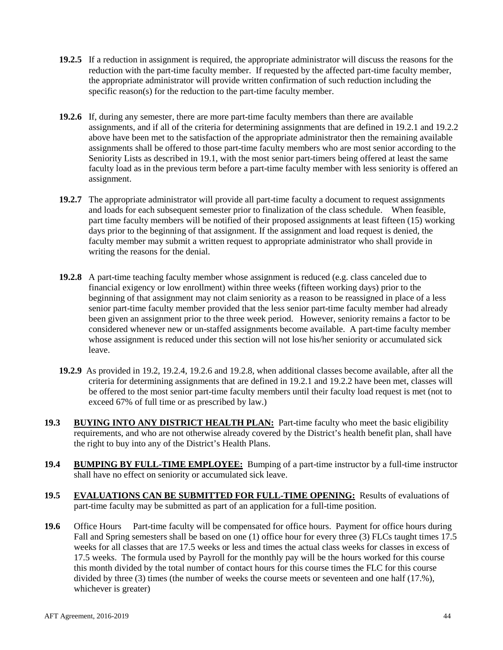- **19.2.5** If a reduction in assignment is required, the appropriate administrator will discuss the reasons for the reduction with the part-time faculty member. If requested by the affected part-time faculty member, the appropriate administrator will provide written confirmation of such reduction including the specific reason(s) for the reduction to the part-time faculty member.
- **19.2.6** If, during any semester, there are more part-time faculty members than there are available assignments, and if all of the criteria for determining assignments that are defined in 19.2.1 and 19.2.2 above have been met to the satisfaction of the appropriate administrator then the remaining available assignments shall be offered to those part-time faculty members who are most senior according to the Seniority Lists as described in 19.1, with the most senior part-timers being offered at least the same faculty load as in the previous term before a part-time faculty member with less seniority is offered an assignment.
- **19.2.7** The appropriate administrator will provide all part-time faculty a document to request assignments and loads for each subsequent semester prior to finalization of the class schedule. When feasible, part time faculty members will be notified of their proposed assignments at least fifteen (15) working days prior to the beginning of that assignment. If the assignment and load request is denied, the faculty member may submit a written request to appropriate administrator who shall provide in writing the reasons for the denial.
- **19.2.8** A part-time teaching faculty member whose assignment is reduced (e.g. class canceled due to financial exigency or low enrollment) within three weeks (fifteen working days) prior to the beginning of that assignment may not claim seniority as a reason to be reassigned in place of a less senior part-time faculty member provided that the less senior part-time faculty member had already been given an assignment prior to the three week period. However, seniority remains a factor to be considered whenever new or un-staffed assignments become available. A part-time faculty member whose assignment is reduced under this section will not lose his/her seniority or accumulated sick leave.
- **19.2.9** As provided in 19.2, 19.2.4, 19.2.6 and 19.2.8, when additional classes become available, after all the criteria for determining assignments that are defined in 19.2.1 and 19.2.2 have been met, classes will be offered to the most senior part-time faculty members until their faculty load request is met (not to exceed 67% of full time or as prescribed by law.)
- **19.3 BUYING INTO ANY DISTRICT HEALTH PLAN:** Part-time faculty who meet the basic eligibility requirements, and who are not otherwise already covered by the District's health benefit plan, shall have the right to buy into any of the District's Health Plans.
- **19.4 BUMPING BY FULL-TIME EMPLOYEE:** Bumping of a part-time instructor by a full-time instructor shall have no effect on seniority or accumulated sick leave.
- **19.5 EVALUATIONS CAN BE SUBMITTED FOR FULL-TIME OPENING:** Results of evaluations of part-time faculty may be submitted as part of an application for a full-time position.
- **19.6** Office Hours Part-time faculty will be compensated for office hours. Payment for office hours during Fall and Spring semesters shall be based on one (1) office hour for every three (3) FLCs taught times 17.5 weeks for all classes that are 17.5 weeks or less and times the actual class weeks for classes in excess of 17.5 weeks. The formula used by Payroll for the monthly pay will be the hours worked for this course this month divided by the total number of contact hours for this course times the FLC for this course divided by three (3) times (the number of weeks the course meets or seventeen and one half (17.%), whichever is greater)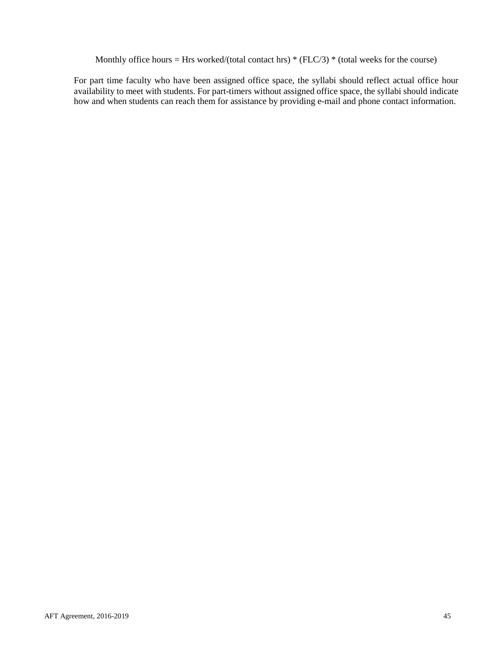Monthly office hours = Hrs worked/(total contact hrs)  $*(FLC/3) * (total weeks for the course)$ 

For part time faculty who have been assigned office space, the syllabi should reflect actual office hour availability to meet with students. For part-timers without assigned office space, the syllabi should indicate how and when students can reach them for assistance by providing e-mail and phone contact information.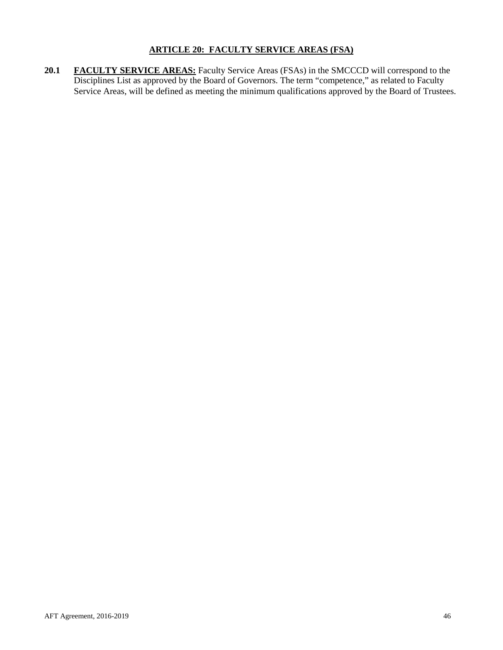## **ARTICLE 20: FACULTY SERVICE AREAS (FSA)**

<span id="page-45-0"></span>20.1 **FACULTY SERVICE AREAS:** Faculty Service Areas (FSAs) in the SMCCCD will correspond to the Disciplines List as approved by the Board of Governors. The term "competence," as related to Faculty Service Areas, will be defined as meeting the minimum qualifications approved by the Board of Trustees.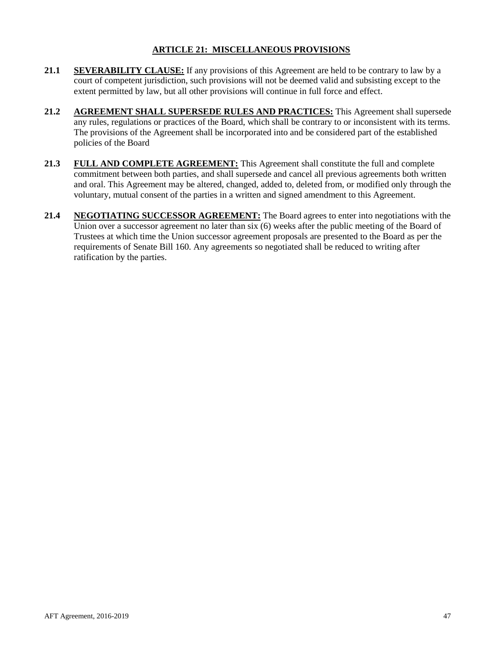## **ARTICLE 21: MISCELLANEOUS PROVISIONS**

- <span id="page-46-0"></span>**21.1 SEVERABILITY CLAUSE:** If any provisions of this Agreement are held to be contrary to law by a court of competent jurisdiction, such provisions will not be deemed valid and subsisting except to the extent permitted by law, but all other provisions will continue in full force and effect.
- **21.2 AGREEMENT SHALL SUPERSEDE RULES AND PRACTICES:** This Agreement shall supersede any rules, regulations or practices of the Board, which shall be contrary to or inconsistent with its terms. The provisions of the Agreement shall be incorporated into and be considered part of the established policies of the Board
- **21.3 FULL AND COMPLETE AGREEMENT:** This Agreement shall constitute the full and complete commitment between both parties, and shall supersede and cancel all previous agreements both written and oral. This Agreement may be altered, changed, added to, deleted from, or modified only through the voluntary, mutual consent of the parties in a written and signed amendment to this Agreement.
- **21.4 NEGOTIATING SUCCESSOR AGREEMENT:** The Board agrees to enter into negotiations with the Union over a successor agreement no later than six (6) weeks after the public meeting of the Board of Trustees at which time the Union successor agreement proposals are presented to the Board as per the requirements of Senate Bill 160. Any agreements so negotiated shall be reduced to writing after ratification by the parties.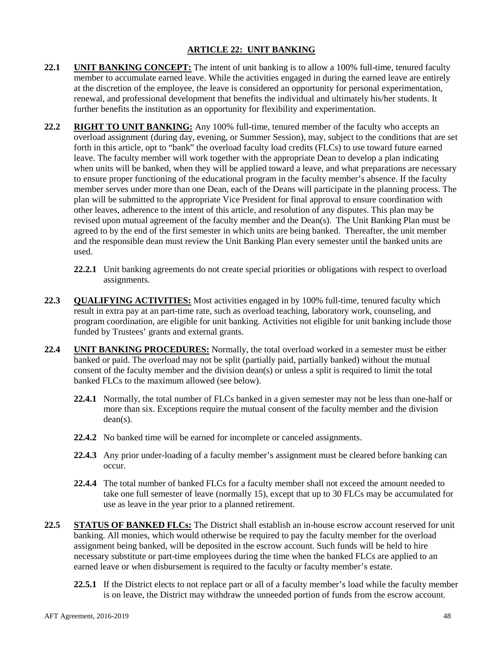## **ARTICLE 22: UNIT BANKING**

- <span id="page-47-0"></span>**22.1 UNIT BANKING CONCEPT:** The intent of unit banking is to allow a 100% full-time, tenured faculty member to accumulate earned leave. While the activities engaged in during the earned leave are entirely at the discretion of the employee, the leave is considered an opportunity for personal experimentation, renewal, and professional development that benefits the individual and ultimately his/her students. It further benefits the institution as an opportunity for flexibility and experimentation.
- **22.2 RIGHT TO UNIT BANKING:** Any 100% full-time, tenured member of the faculty who accepts an overload assignment (during day, evening, or Summer Session), may, subject to the conditions that are set forth in this article, opt to "bank" the overload faculty load credits (FLCs) to use toward future earned leave. The faculty member will work together with the appropriate Dean to develop a plan indicating when units will be banked, when they will be applied toward a leave, and what preparations are necessary to ensure proper functioning of the educational program in the faculty member's absence. If the faculty member serves under more than one Dean, each of the Deans will participate in the planning process. The plan will be submitted to the appropriate Vice President for final approval to ensure coordination with other leaves, adherence to the intent of this article, and resolution of any disputes. This plan may be revised upon mutual agreement of the faculty member and the Dean(s). The Unit Banking Plan must be agreed to by the end of the first semester in which units are being banked. Thereafter, the unit member and the responsible dean must review the Unit Banking Plan every semester until the banked units are used.
	- **22.2.1** Unit banking agreements do not create special priorities or obligations with respect to overload assignments.
- **22.3 QUALIFYING ACTIVITIES:** Most activities engaged in by 100% full-time, tenured faculty which result in extra pay at an part-time rate, such as overload teaching, laboratory work, counseling, and program coordination, are eligible for unit banking. Activities not eligible for unit banking include those funded by Trustees' grants and external grants.
- **22.4 UNIT BANKING PROCEDURES:** Normally, the total overload worked in a semester must be either banked or paid. The overload may not be split (partially paid, partially banked) without the mutual consent of the faculty member and the division dean(s) or unless a split is required to limit the total banked FLCs to the maximum allowed (see below).
	- **22.4.1** Normally, the total number of FLCs banked in a given semester may not be less than one-half or more than six. Exceptions require the mutual consent of the faculty member and the division dean(s).
	- **22.4.2** No banked time will be earned for incomplete or canceled assignments.
	- **22.4.3** Any prior under-loading of a faculty member's assignment must be cleared before banking can occur.
	- **22.4.4** The total number of banked FLCs for a faculty member shall not exceed the amount needed to take one full semester of leave (normally 15), except that up to 30 FLCs may be accumulated for use as leave in the year prior to a planned retirement.
- **22.5 STATUS OF BANKED FLCs:** The District shall establish an in-house escrow account reserved for unit banking. All monies, which would otherwise be required to pay the faculty member for the overload assignment being banked, will be deposited in the escrow account. Such funds will be held to hire necessary substitute or part-time employees during the time when the banked FLCs are applied to an earned leave or when disbursement is required to the faculty or faculty member's estate.
	- **22.5.1** If the District elects to not replace part or all of a faculty member's load while the faculty member is on leave, the District may withdraw the unneeded portion of funds from the escrow account.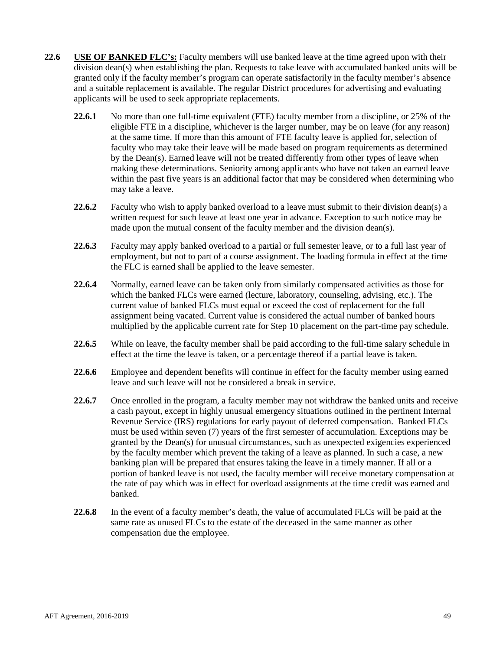- **22.6 USE OF BANKED FLC's:** Faculty members will use banked leave at the time agreed upon with their division dean(s) when establishing the plan. Requests to take leave with accumulated banked units will be granted only if the faculty member's program can operate satisfactorily in the faculty member's absence and a suitable replacement is available. The regular District procedures for advertising and evaluating applicants will be used to seek appropriate replacements.
	- **22.6.1** No more than one full-time equivalent (FTE) faculty member from a discipline, or 25% of the eligible FTE in a discipline, whichever is the larger number, may be on leave (for any reason) at the same time. If more than this amount of FTE faculty leave is applied for, selection of faculty who may take their leave will be made based on program requirements as determined by the Dean(s). Earned leave will not be treated differently from other types of leave when making these determinations. Seniority among applicants who have not taken an earned leave within the past five years is an additional factor that may be considered when determining who may take a leave.
	- **22.6.2** Faculty who wish to apply banked overload to a leave must submit to their division dean(s) a written request for such leave at least one year in advance. Exception to such notice may be made upon the mutual consent of the faculty member and the division dean(s).
	- **22.6.3** Faculty may apply banked overload to a partial or full semester leave, or to a full last year of employment, but not to part of a course assignment. The loading formula in effect at the time the FLC is earned shall be applied to the leave semester.
	- **22.6.4** Normally, earned leave can be taken only from similarly compensated activities as those for which the banked FLCs were earned (lecture, laboratory, counseling, advising, etc.). The current value of banked FLCs must equal or exceed the cost of replacement for the full assignment being vacated. Current value is considered the actual number of banked hours multiplied by the applicable current rate for Step 10 placement on the part-time pay schedule.
	- **22.6.5** While on leave, the faculty member shall be paid according to the full-time salary schedule in effect at the time the leave is taken, or a percentage thereof if a partial leave is taken.
	- **22.6.6** Employee and dependent benefits will continue in effect for the faculty member using earned leave and such leave will not be considered a break in service.
	- **22.6.7** Once enrolled in the program, a faculty member may not withdraw the banked units and receive a cash payout, except in highly unusual emergency situations outlined in the pertinent Internal Revenue Service (IRS) regulations for early payout of deferred compensation. Banked FLCs must be used within seven (7) years of the first semester of accumulation. Exceptions may be granted by the Dean(s) for unusual circumstances, such as unexpected exigencies experienced by the faculty member which prevent the taking of a leave as planned. In such a case, a new banking plan will be prepared that ensures taking the leave in a timely manner. If all or a portion of banked leave is not used, the faculty member will receive monetary compensation at the rate of pay which was in effect for overload assignments at the time credit was earned and banked.
	- **22.6.8** In the event of a faculty member's death, the value of accumulated FLCs will be paid at the same rate as unused FLCs to the estate of the deceased in the same manner as other compensation due the employee.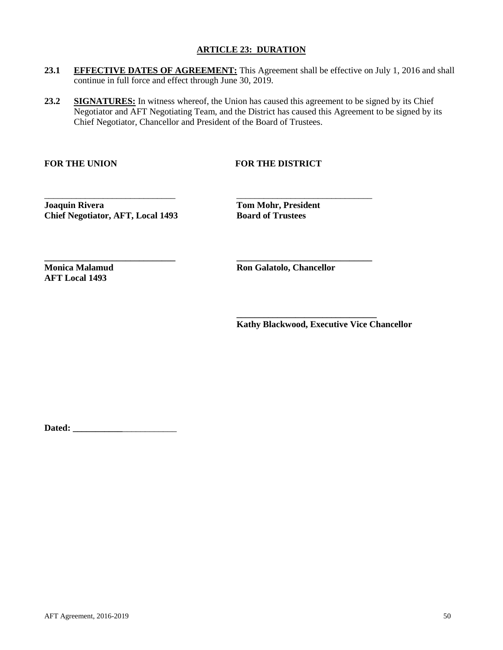## **ARTICLE 23: DURATION**

- <span id="page-49-0"></span>23.1 **EFFECTIVE DATES OF AGREEMENT:** This Agreement shall be effective on July 1, 2016 and shall continue in full force and effect through June 30, 2019.
- 23.2 **SIGNATURES:** In witness whereof, the Union has caused this agreement to be signed by its Chief Negotiator and AFT Negotiating Team, and the District has caused this Agreement to be signed by its Chief Negotiator, Chancellor and President of the Board of Trustees.

\_\_\_\_\_\_\_\_\_\_\_\_\_\_\_\_\_\_\_\_\_\_\_\_\_\_\_\_\_ \_\_\_\_\_\_\_\_\_\_\_\_\_\_\_\_\_\_\_\_\_\_\_\_\_\_\_\_\_\_

**\_\_\_\_\_\_\_\_\_\_\_\_\_\_\_\_\_\_\_\_\_\_\_\_\_\_\_\_\_ \_\_\_\_\_\_\_\_\_\_\_\_\_\_\_\_\_\_\_\_\_\_\_\_\_\_\_\_\_\_**

## FOR THE UNION FOR THE DISTRICT

**Joaquin Rivera Tom Mohr, President Chief Negotiator, AFT, Local 1493 Board of Trustees**

**AFT Local 1493**

**Monica Malamud Ron Galatolo, Chancellor** 

**\_\_\_\_\_\_\_\_\_\_\_\_\_\_\_\_\_\_\_\_\_\_\_\_\_\_\_\_\_\_\_ Kathy Blackwood, Executive Vice Chancellor**

**Dated: \_\_\_\_\_\_\_\_\_\_\_**\_\_\_\_\_\_\_\_\_\_\_\_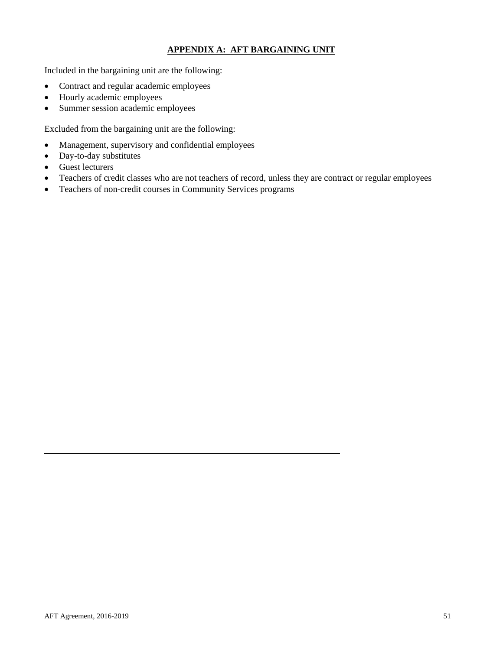## **APPENDIX A: AFT BARGAINING UNIT**

<span id="page-50-0"></span>Included in the bargaining unit are the following:

- Contract and regular academic employees
- Hourly academic employees
- Summer session academic employees

Excluded from the bargaining unit are the following:

- Management, supervisory and confidential employees
- Day-to-day substitutes
- Guest lecturers
- Teachers of credit classes who are not teachers of record, unless they are contract or regular employees
- Teachers of non-credit courses in Community Services programs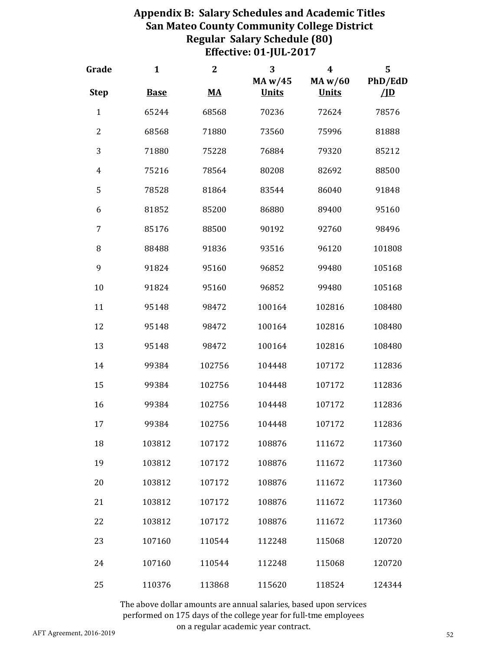## **Appendix B: Salary Schedules and Academic Titles San Mateo County Community College District Regular Salary Schedule (80) Effective: 01‐JUL‐2017**

<span id="page-51-0"></span>

| Grade          | $\mathbf{1}$ | $\mathbf{2}$                       | 3<br>MA w/45 | $\overline{\mathbf{4}}$<br>MA w/60 | 5<br>PhD/EdD       |
|----------------|--------------|------------------------------------|--------------|------------------------------------|--------------------|
| <b>Step</b>    | <b>Base</b>  | $\underline{\mathbf{M}}\mathbf{A}$ | <b>Units</b> | <b>Units</b>                       | $\sqrt{\text{ID}}$ |
| $\mathbf{1}$   | 65244        | 68568                              | 70236        | 72624                              | 78576              |
| $\overline{2}$ | 68568        | 71880                              | 73560        | 75996                              | 81888              |
| 3              | 71880        | 75228                              | 76884        | 79320                              | 85212              |
| $\overline{4}$ | 75216        | 78564                              | 80208        | 82692                              | 88500              |
| 5              | 78528        | 81864                              | 83544        | 86040                              | 91848              |
| 6              | 81852        | 85200                              | 86880        | 89400                              | 95160              |
| 7              | 85176        | 88500                              | 90192        | 92760                              | 98496              |
| 8              | 88488        | 91836                              | 93516        | 96120                              | 101808             |
| 9              | 91824        | 95160                              | 96852        | 99480                              | 105168             |
| 10             | 91824        | 95160                              | 96852        | 99480                              | 105168             |
| 11             | 95148        | 98472                              | 100164       | 102816                             | 108480             |
| 12             | 95148        | 98472                              | 100164       | 102816                             | 108480             |
| 13             | 95148        | 98472                              | 100164       | 102816                             | 108480             |
| 14             | 99384        | 102756                             | 104448       | 107172                             | 112836             |
| 15             | 99384        | 102756                             | 104448       | 107172                             | 112836             |
| 16             | 99384        | 102756                             | 104448       | 107172                             | 112836             |
| 17             | 99384        | 102756                             | 104448       | 107172                             | 112836             |
| 18             | 103812       | 107172                             | 108876       | 111672                             | 117360             |
| 19             | 103812       | 107172                             | 108876       | 111672                             | 117360             |
| 20             | 103812       | 107172                             | 108876       | 111672                             | 117360             |
| 21             | 103812       | 107172                             | 108876       | 111672                             | 117360             |
| 22             | 103812       | 107172                             | 108876       | 111672                             | 117360             |
| 23             | 107160       | 110544                             | 112248       | 115068                             | 120720             |
| 24             | 107160       | 110544                             | 112248       | 115068                             | 120720             |
| 25             | 110376       | 113868                             | 115620       | 118524                             | 124344             |

The above dollar amounts are annual salaries, based upon services performed on 175 days of the college year for full-tme employees on a regular academic year contract.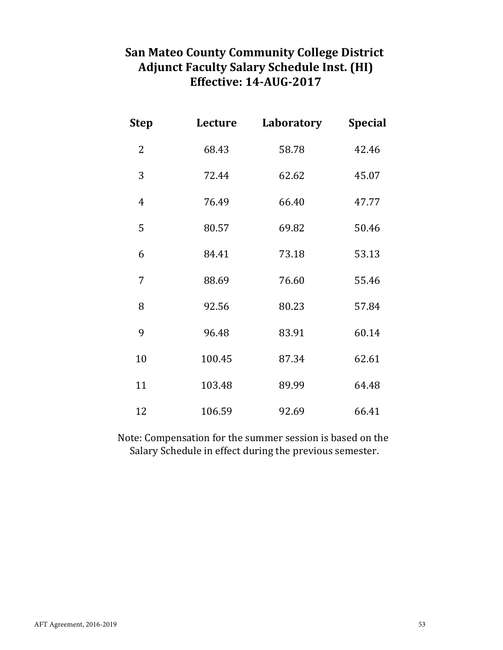# **San Mateo County Community College District Adjunct Faculty Salary Schedule Inst. (HI) Effective: 14-AUG-2017**

| <b>Step</b> | Lecture | Laboratory | <b>Special</b> |
|-------------|---------|------------|----------------|
| 2           | 68.43   | 58.78      | 42.46          |
| 3           | 72.44   | 62.62      | 45.07          |
| 4           | 76.49   | 66.40      | 47.77          |
| 5           | 80.57   | 69.82      | 50.46          |
| 6           | 84.41   | 73.18      | 53.13          |
| 7           | 88.69   | 76.60      | 55.46          |
| 8           | 92.56   | 80.23      | 57.84          |
| 9           | 96.48   | 83.91      | 60.14          |
| 10          | 100.45  | 87.34      | 62.61          |
| 11          | 103.48  | 89.99      | 64.48          |
| 12          | 106.59  | 92.69      | 66.41          |

Salary Schedule in effect during the previous semester. Note: Compensation for the summer session is based on the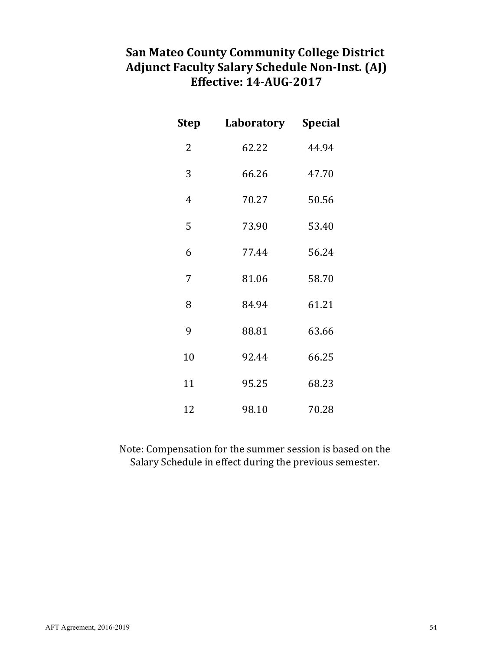# **San Mateo County Community College District Adjunct Faculty Salary Schedule Non-Inst. (AJ) Effective: 14-AUG-2017**

| Step           | Laboratory | Special |
|----------------|------------|---------|
| $\overline{2}$ | 62.22      | 44.94   |
| 3              | 66.26      | 47.70   |
| 4              | 70.27      | 50.56   |
| 5              | 73.90      | 53.40   |
| 6              | 77.44      | 56.24   |
| 7              | 81.06      | 58.70   |
| 8              | 84.94      | 61.21   |
| 9              | 88.81      | 63.66   |
| 10             | 92.44      | 66.25   |
| 11             | 95.25      | 68.23   |
| 12             | 98.10      | 70.28   |

Note: Compensation for the summer session is based on the Salary Schedule in effect during the previous semester.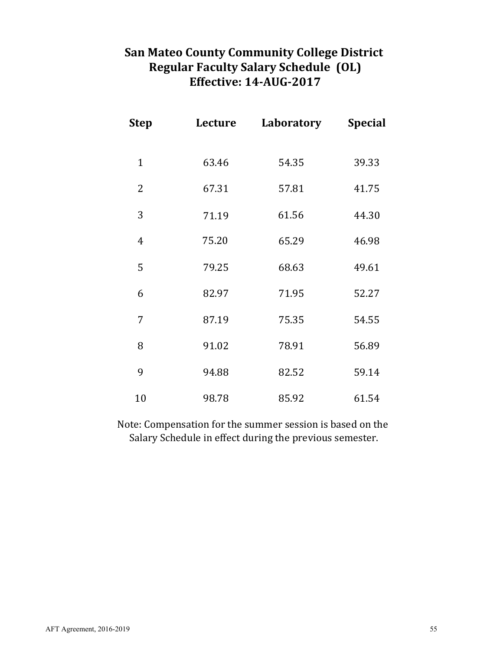# **San Mateo County Community College District Regular Faculty Salary Schedule (OL) Effective: 14-AUG-2017**

| <b>Step</b>  | Lecture | Laboratory | <b>Special</b> |
|--------------|---------|------------|----------------|
| $\mathbf{1}$ | 63.46   | 54.35      | 39.33          |
| 2            | 67.31   | 57.81      | 41.75          |
| 3            | 71.19   | 61.56      | 44.30          |
| 4            | 75.20   | 65.29      | 46.98          |
| 5            | 79.25   | 68.63      | 49.61          |
| 6            | 82.97   | 71.95      | 52.27          |
| 7            | 87.19   | 75.35      | 54.55          |
| 8            | 91.02   | 78.91      | 56.89          |
| 9            | 94.88   | 82.52      | 59.14          |
| 10           | 98.78   | 85.92      | 61.54          |

Note: Compensation for the summer session is based on the Salary Schedule in effect during the previous semester.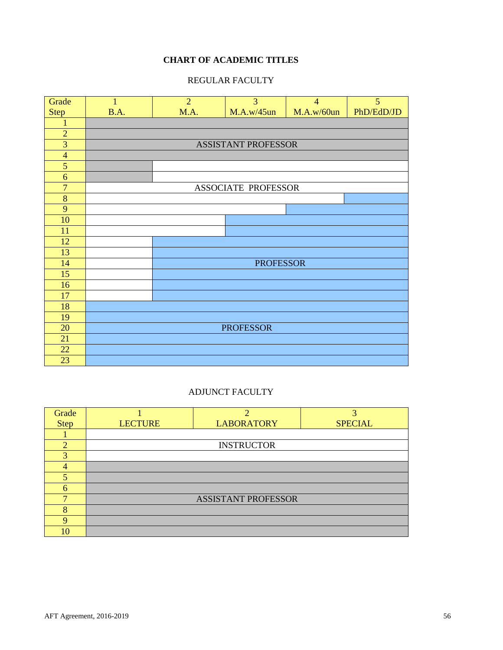## **CHART OF ACADEMIC TITLES**

## REGULAR FACULTY



## ADJUNCT FACULTY

<span id="page-55-0"></span>

| Grade         |                | $\bigcap$                  | 3              |
|---------------|----------------|----------------------------|----------------|
| <b>Step</b>   | <b>LECTURE</b> | <b>LABORATORY</b>          | <b>SPECIAL</b> |
|               |                |                            |                |
| $\mathcal{D}$ |                | <b>INSTRUCTOR</b>          |                |
| 3             |                |                            |                |
|               |                |                            |                |
| 5             |                |                            |                |
| 6             |                |                            |                |
|               |                | <b>ASSISTANT PROFESSOR</b> |                |
| 8             |                |                            |                |
| $\mathbf Q$   |                |                            |                |
| 10            |                |                            |                |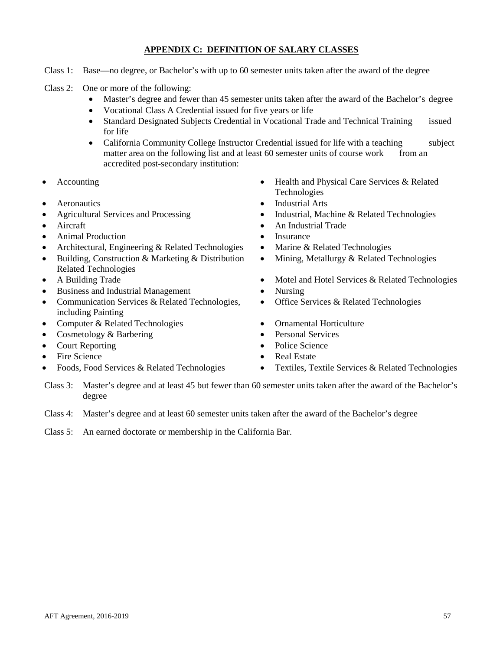## **APPENDIX C: DEFINITION OF SALARY CLASSES**

- Class 1: Base—no degree, or Bachelor's with up to 60 semester units taken after the award of the degree
- Class 2: One or more of the following:
	- Master's degree and fewer than 45 semester units taken after the award of the Bachelor's degree
	- Vocational Class A Credential issued for five years or life
	- Standard Designated Subjects Credential in Vocational Trade and Technical Training issued for life
	- California Community College Instructor Credential issued for life with a teaching subject matter area on the following list and at least 60 semester units of course work from an accredited post-secondary institution:
- 
- 
- 
- 
- Animal Production Insurance
- Architectural, Engineering & Related Technologies Marine & Related Technologies
- Building, Construction & Marketing & Distribution Related Technologies
- 
- Business and Industrial Management Nursing
- Communication Services & Related Technologies, including Painting
- Computer & Related Technologies Ornamental Horticulture
- Cosmetology & Barbering Personal Services
- 
- 
- 
- Accounting Health and Physical Care Services & Related Technologies
- Aeronautics Industrial Arts
- Agricultural Services and Processing Industrial, Machine & Related Technologies
- Aircraft An Industrial Trade
	-
	-
	- Mining, Metallurgy & Related Technologies
- A Building Trade Motel and Hotel Services & Related Technologies
	-
	- Office Services & Related Technologies
	-
	-
- Court Reporting Police Science
- Fire Science Real Estate
- Foods, Food Services & Related Technologies Textiles, Textile Services & Related Technologies
- Class 3: Master's degree and at least 45 but fewer than 60 semester units taken after the award of the Bachelor's degree
- Class 4: Master's degree and at least 60 semester units taken after the award of the Bachelor's degree
- Class 5: An earned doctorate or membership in the California Bar.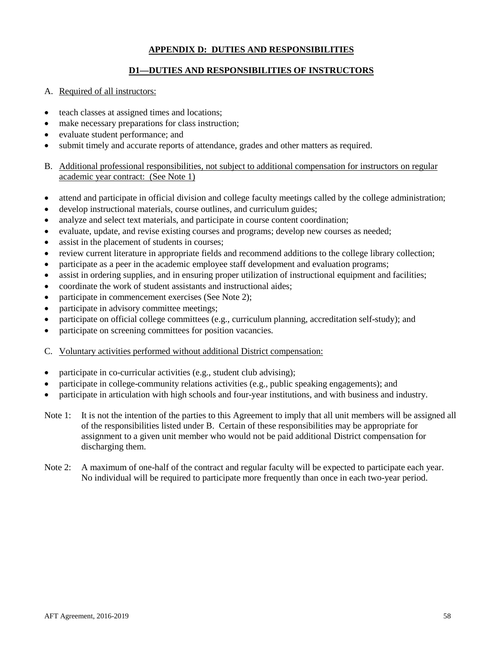## **APPENDIX D: DUTIES AND RESPONSIBILITIES**

## **D1—DUTIES AND RESPONSIBILITIES OF INSTRUCTORS**

## <span id="page-57-0"></span>A. Required of all instructors:

- teach classes at assigned times and locations;
- make necessary preparations for class instruction;
- evaluate student performance; and
- submit timely and accurate reports of attendance, grades and other matters as required.
- B. Additional professional responsibilities, not subject to additional compensation for instructors on regular academic year contract: (See Note 1)
- attend and participate in official division and college faculty meetings called by the college administration;
- develop instructional materials, course outlines, and curriculum guides;
- analyze and select text materials, and participate in course content coordination;
- evaluate, update, and revise existing courses and programs; develop new courses as needed;
- assist in the placement of students in courses;
- review current literature in appropriate fields and recommend additions to the college library collection;
- participate as a peer in the academic employee staff development and evaluation programs;
- assist in ordering supplies, and in ensuring proper utilization of instructional equipment and facilities;
- coordinate the work of student assistants and instructional aides;
- participate in commencement exercises (See Note 2);
- participate in advisory committee meetings;
- participate on official college committees (e.g., curriculum planning, accreditation self-study); and
- participate on screening committees for position vacancies.
- C. Voluntary activities performed without additional District compensation:
- participate in co-curricular activities (e.g., student club advising);
- participate in college-community relations activities (e.g., public speaking engagements); and
- participate in articulation with high schools and four-year institutions, and with business and industry.
- Note 1: It is not the intention of the parties to this Agreement to imply that all unit members will be assigned all of the responsibilities listed under B. Certain of these responsibilities may be appropriate for assignment to a given unit member who would not be paid additional District compensation for discharging them.
- Note 2: A maximum of one-half of the contract and regular faculty will be expected to participate each year. No individual will be required to participate more frequently than once in each two-year period.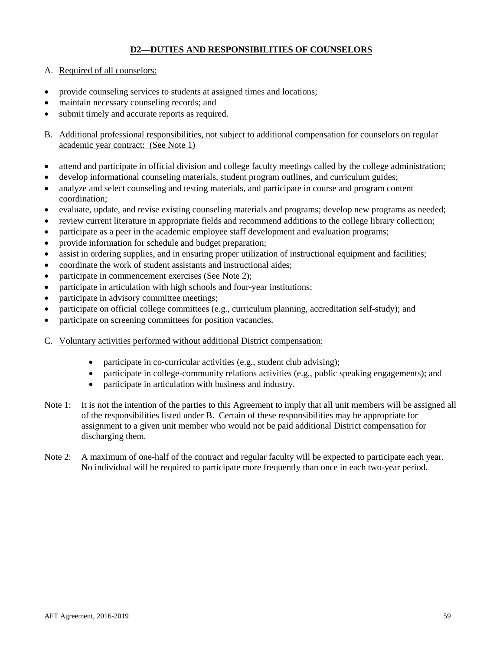## **D2—DUTIES AND RESPONSIBILITIES OF COUNSELORS**

- A. Required of all counselors:
- provide counseling services to students at assigned times and locations;
- maintain necessary counseling records; and
- submit timely and accurate reports as required.
- B. Additional professional responsibilities, not subject to additional compensation for counselors on regular academic year contract: (See Note 1)
- attend and participate in official division and college faculty meetings called by the college administration;
- develop informational counseling materials, student program outlines, and curriculum guides;
- analyze and select counseling and testing materials, and participate in course and program content coordination;
- evaluate, update, and revise existing counseling materials and programs; develop new programs as needed;
- review current literature in appropriate fields and recommend additions to the college library collection;
- participate as a peer in the academic employee staff development and evaluation programs;
- provide information for schedule and budget preparation;
- assist in ordering supplies, and in ensuring proper utilization of instructional equipment and facilities;
- coordinate the work of student assistants and instructional aides;
- participate in commencement exercises (See Note 2);
- participate in articulation with high schools and four-year institutions;
- participate in advisory committee meetings;
- participate on official college committees (e.g., curriculum planning, accreditation self-study); and
- participate on screening committees for position vacancies.
- C. Voluntary activities performed without additional District compensation:
	- participate in co-curricular activities (e.g., student club advising);
	- participate in college-community relations activities (e.g., public speaking engagements); and
	- participate in articulation with business and industry.
- Note 1: It is not the intention of the parties to this Agreement to imply that all unit members will be assigned all of the responsibilities listed under B. Certain of these responsibilities may be appropriate for assignment to a given unit member who would not be paid additional District compensation for discharging them.
- Note 2: A maximum of one-half of the contract and regular faculty will be expected to participate each year. No individual will be required to participate more frequently than once in each two-year period.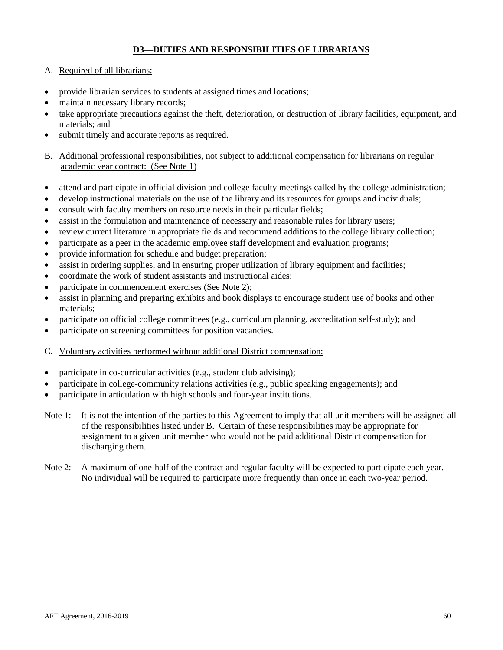## **D3—DUTIES AND RESPONSIBILITIES OF LIBRARIANS**

- A. Required of all librarians:
- provide librarian services to students at assigned times and locations;
- maintain necessary library records;
- take appropriate precautions against the theft, deterioration, or destruction of library facilities, equipment, and materials; and
- submit timely and accurate reports as required.
- B. Additional professional responsibilities, not subject to additional compensation for librarians on regular academic year contract: (See Note 1)
- attend and participate in official division and college faculty meetings called by the college administration;
- develop instructional materials on the use of the library and its resources for groups and individuals;
- consult with faculty members on resource needs in their particular fields;
- assist in the formulation and maintenance of necessary and reasonable rules for library users;
- review current literature in appropriate fields and recommend additions to the college library collection;
- participate as a peer in the academic employee staff development and evaluation programs;
- provide information for schedule and budget preparation;
- assist in ordering supplies, and in ensuring proper utilization of library equipment and facilities;
- coordinate the work of student assistants and instructional aides;
- participate in commencement exercises (See Note 2);
- assist in planning and preparing exhibits and book displays to encourage student use of books and other materials;
- participate on official college committees (e.g., curriculum planning, accreditation self-study); and
- participate on screening committees for position vacancies.
- C. Voluntary activities performed without additional District compensation:
- participate in co-curricular activities (e.g., student club advising);
- participate in college-community relations activities (e.g., public speaking engagements); and
- participate in articulation with high schools and four-year institutions.
- Note 1: It is not the intention of the parties to this Agreement to imply that all unit members will be assigned all of the responsibilities listed under B. Certain of these responsibilities may be appropriate for assignment to a given unit member who would not be paid additional District compensation for discharging them.
- Note 2: A maximum of one-half of the contract and regular faculty will be expected to participate each year. No individual will be required to participate more frequently than once in each two-year period.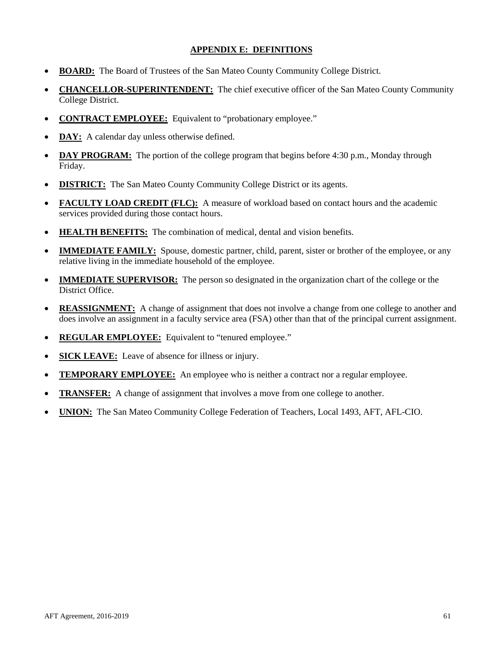## **APPENDIX E: DEFINITIONS**

- <span id="page-60-0"></span>• **BOARD:** The Board of Trustees of the San Mateo County Community College District.
- **CHANCELLOR-SUPERINTENDENT:** The chief executive officer of the San Mateo County Community College District.
- **CONTRACT EMPLOYEE:** Equivalent to "probationary employee."
- **DAY:** A calendar day unless otherwise defined.
- **DAY PROGRAM:** The portion of the college program that begins before 4:30 p.m., Monday through Friday.
- **DISTRICT:** The San Mateo County Community College District or its agents.
- **FACULTY LOAD CREDIT (FLC):** A measure of workload based on contact hours and the academic services provided during those contact hours.
- **HEALTH BENEFITS:** The combination of medical, dental and vision benefits.
- **IMMEDIATE FAMILY:** Spouse, domestic partner, child, parent, sister or brother of the employee, or any relative living in the immediate household of the employee.
- **IMMEDIATE SUPERVISOR:** The person so designated in the organization chart of the college or the District Office.
- **REASSIGNMENT:** A change of assignment that does not involve a change from one college to another and does involve an assignment in a faculty service area (FSA) other than that of the principal current assignment.
- **REGULAR EMPLOYEE:** Equivalent to "tenured employee."
- **SICK LEAVE:** Leave of absence for illness or injury.
- **TEMPORARY EMPLOYEE:** An employee who is neither a contract nor a regular employee.
- **TRANSFER:** A change of assignment that involves a move from one college to another.
- **UNION:** The San Mateo Community College Federation of Teachers, Local 1493, AFT, AFL-CIO.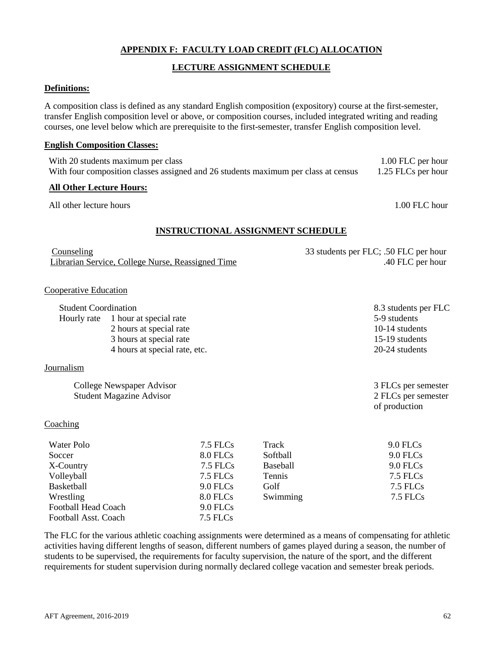## **APPENDIX F: FACULTY LOAD CREDIT (FLC) ALLOCATION**

## **LECTURE ASSIGNMENT SCHEDULE**

#### <span id="page-61-0"></span>**Definitions:**

A composition class is defined as any standard English composition (expository) course at the first-semester, transfer English composition level or above, or composition courses, included integrated writing and reading courses, one level below which are prerequisite to the first-semester, transfer English composition level.

#### **English Composition Classes:**

With 20 students maximum per class 1.00 FLC per hour With four composition classes assigned and 26 students maximum per class at census 1.25 FLCs per hour

#### **All Other Lecture Hours:**

All other lecture hours and the set of the set of the set of the set of the set of the set of the set of the set of the set of the set of the set of the set of the set of the set of the set of the set of the set of the set

## **INSTRUCTIONAL ASSIGNMENT SCHEDULE**

| Counseling                                        | 33 students per FLC; .50 FLC per hour |
|---------------------------------------------------|---------------------------------------|
| Librarian Service, College Nurse, Reassigned Time | .40 FLC per hour                      |

#### Cooperative Education

| <b>Student Coordination</b> |                                    | 8.3 students per FLC |
|-----------------------------|------------------------------------|----------------------|
|                             | Hourly rate 1 hour at special rate | 5-9 students         |
|                             | 2 hours at special rate            | 10-14 students       |
|                             | 3 hours at special rate            | 15-19 students       |
|                             | 4 hours at special rate, etc.      | 20-24 students       |
|                             |                                    |                      |

College Newspaper Advisor 3 FLCs per semester Student Magazine Advisor 2 FLCs per semester of production

## **Coaching**

Journalism

| Water Polo                  | 7.5 FLCs   | Track           | $9.0$ FLCs |
|-----------------------------|------------|-----------------|------------|
| Soccer                      | 8.0 FLCs   | Softball        | 9.0 FLCs   |
| X-Country                   | 7.5 FLCs   | <b>Baseball</b> | 9.0 FLCs   |
| Volleyball                  | 7.5 FLCs   | Tennis          | 7.5 FLCs   |
| Basketball                  | $9.0$ FLCs | Golf            | 7.5 FLCs   |
| Wrestling                   | 8.0 FLCs   | Swimming        | 7.5 FLCs   |
| <b>Football Head Coach</b>  | $9.0$ FLCs |                 |            |
| <b>Football Asst. Coach</b> | 7.5 FLCs   |                 |            |

The FLC for the various athletic coaching assignments were determined as a means of compensating for athletic activities having different lengths of season, different numbers of games played during a season, the number of students to be supervised, the requirements for faculty supervision, the nature of the sport, and the different requirements for student supervision during normally declared college vacation and semester break periods.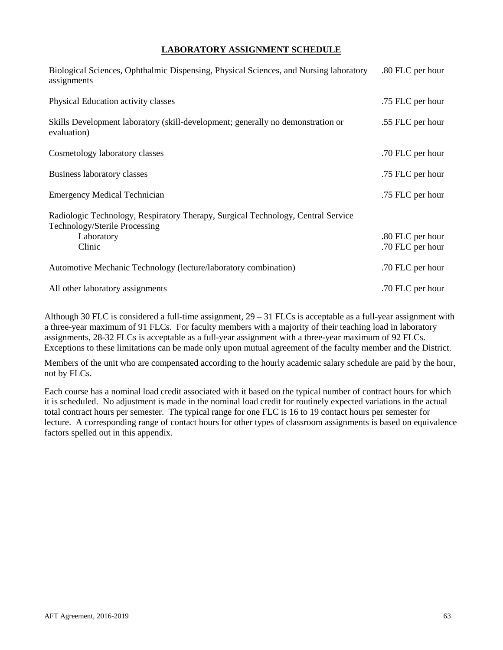## **LABORATORY ASSIGNMENT SCHEDULE**

| Biological Sciences, Ophthalmic Dispensing, Physical Sciences, and Nursing laboratory<br>assignments              | .80 FLC per hour                     |
|-------------------------------------------------------------------------------------------------------------------|--------------------------------------|
| Physical Education activity classes                                                                               | .75 FLC per hour                     |
| Skills Development laboratory (skill-development; generally no demonstration or<br>evaluation)                    | .55 FLC per hour                     |
| Cosmetology laboratory classes                                                                                    | .70 FLC per hour                     |
| Business laboratory classes                                                                                       | .75 FLC per hour                     |
| <b>Emergency Medical Technician</b>                                                                               | .75 FLC per hour                     |
| Radiologic Technology, Respiratory Therapy, Surgical Technology, Central Service<br>Technology/Sterile Processing |                                      |
| Laboratory<br>Clinic                                                                                              | .80 FLC per hour<br>.70 FLC per hour |
| Automotive Mechanic Technology (lecture/laboratory combination)                                                   | .70 FLC per hour                     |
| All other laboratory assignments                                                                                  | .70 FLC per hour                     |

Although 30 FLC is considered a full-time assignment,  $29 - 31$  FLCs is acceptable as a full-year assignment with a three-year maximum of 91 FLCs. For faculty members with a majority of their teaching load in laboratory assignments, 28-32 FLCs is acceptable as a full-year assignment with a three-year maximum of 92 FLCs. Exceptions to these limitations can be made only upon mutual agreement of the faculty member and the District.

Members of the unit who are compensated according to the hourly academic salary schedule are paid by the hour, not by FLCs.

Each course has a nominal load credit associated with it based on the typical number of contract hours for which it is scheduled. No adjustment is made in the nominal load credit for routinely expected variations in the actual total contract hours per semester. The typical range for one FLC is 16 to 19 contact hours per semester for lecture. A corresponding range of contact hours for other types of classroom assignments is based on equivalence factors spelled out in this appendix.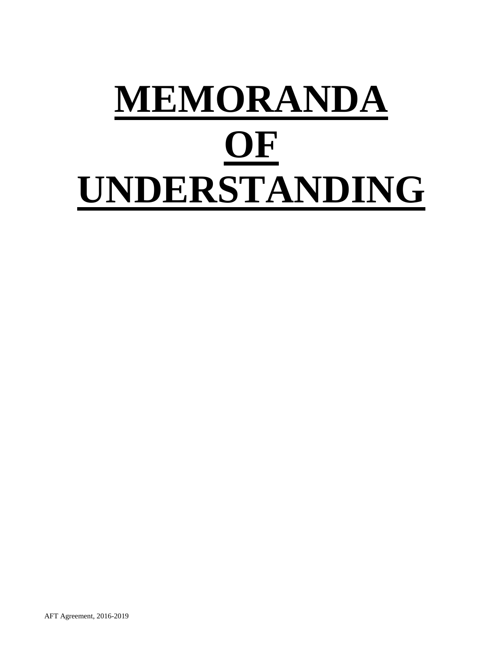# **MEMORANDA OF UNDERSTANDING**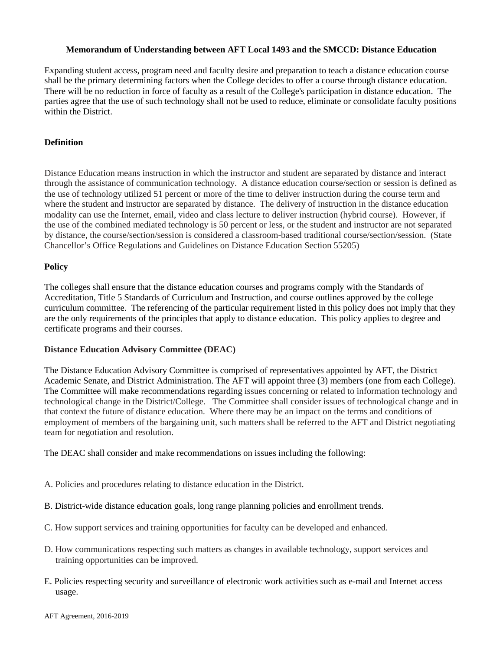## **Memorandum of Understanding between AFT Local 1493 and the SMCCD: Distance Education**

Expanding student access, program need and faculty desire and preparation to teach a distance education course shall be the primary determining factors when the College decides to offer a course through distance education. There will be no reduction in force of faculty as a result of the College's participation in distance education. The parties agree that the use of such technology shall not be used to reduce, eliminate or consolidate faculty positions within the District.

## **Definition**

Distance Education means instruction in which the instructor and student are separated by distance and interact through the assistance of communication technology. A distance education course/section or session is defined as the use of technology utilized 51 percent or more of the time to deliver instruction during the course term and where the student and instructor are separated by distance. The delivery of instruction in the distance education modality can use the Internet, email, video and class lecture to deliver instruction (hybrid course). However, if the use of the combined mediated technology is 50 percent or less, or the student and instructor are not separated by distance, the course/section/session is considered a classroom-based traditional course/section/session. (State Chancellor's Office Regulations and Guidelines on Distance Education Section 55205)

## **Policy**

The colleges shall ensure that the distance education courses and programs comply with the Standards of Accreditation, Title 5 Standards of Curriculum and Instruction, and course outlines approved by the college curriculum committee. The referencing of the particular requirement listed in this policy does not imply that they are the only requirements of the principles that apply to distance education. This policy applies to degree and certificate programs and their courses.

## **Distance Education Advisory Committee (DEAC)**

The Distance Education Advisory Committee is comprised of representatives appointed by AFT, the District Academic Senate, and District Administration. The AFT will appoint three (3) members (one from each College). The Committee will make recommendations regarding issues concerning or related to information technology and technological change in the District/College. The Committee shall consider issues of technological change and in that context the future of distance education. Where there may be an impact on the terms and conditions of employment of members of the bargaining unit, such matters shall be referred to the AFT and District negotiating team for negotiation and resolution.

The DEAC shall consider and make recommendations on issues including the following:

- A. Policies and procedures relating to distance education in the District.
- B. District-wide distance education goals, long range planning policies and enrollment trends.
- C. How support services and training opportunities for faculty can be developed and enhanced.
- D. How communications respecting such matters as changes in available technology, support services and training opportunities can be improved.
- E. Policies respecting security and surveillance of electronic work activities such as e-mail and Internet access usage.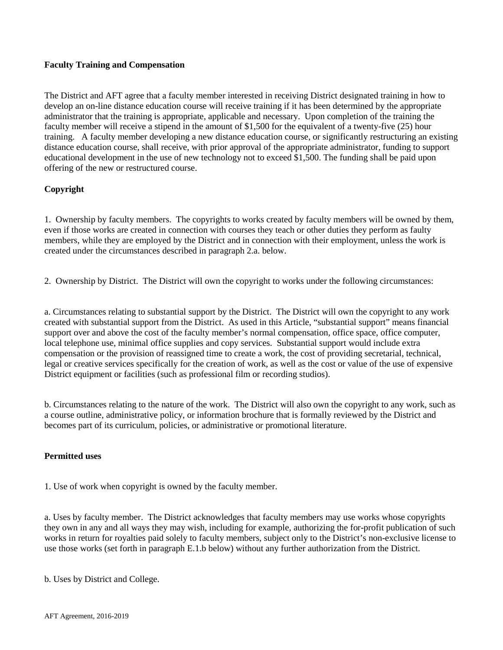## **Faculty Training and Compensation**

The District and AFT agree that a faculty member interested in receiving District designated training in how to develop an on-line distance education course will receive training if it has been determined by the appropriate administrator that the training is appropriate, applicable and necessary. Upon completion of the training the faculty member will receive a stipend in the amount of \$1,500 for the equivalent of a twenty-five (25) hour training. A faculty member developing a new distance education course, or significantly restructuring an existing distance education course, shall receive, with prior approval of the appropriate administrator, funding to support educational development in the use of new technology not to exceed \$1,500. The funding shall be paid upon offering of the new or restructured course.

## **Copyright**

1. Ownership by faculty members. The copyrights to works created by faculty members will be owned by them, even if those works are created in connection with courses they teach or other duties they perform as faulty members, while they are employed by the District and in connection with their employment, unless the work is created under the circumstances described in paragraph 2.a. below.

2. Ownership by District. The District will own the copyright to works under the following circumstances:

a. Circumstances relating to substantial support by the District. The District will own the copyright to any work created with substantial support from the District. As used in this Article, "substantial support" means financial support over and above the cost of the faculty member's normal compensation, office space, office computer, local telephone use, minimal office supplies and copy services. Substantial support would include extra compensation or the provision of reassigned time to create a work, the cost of providing secretarial, technical, legal or creative services specifically for the creation of work, as well as the cost or value of the use of expensive District equipment or facilities (such as professional film or recording studios).

b. Circumstances relating to the nature of the work. The District will also own the copyright to any work, such as a course outline, administrative policy, or information brochure that is formally reviewed by the District and becomes part of its curriculum, policies, or administrative or promotional literature.

## **Permitted uses**

1. Use of work when copyright is owned by the faculty member.

a. Uses by faculty member. The District acknowledges that faculty members may use works whose copyrights they own in any and all ways they may wish, including for example, authorizing the for-profit publication of such works in return for royalties paid solely to faculty members, subject only to the District's non-exclusive license to use those works (set forth in paragraph E.1.b below) without any further authorization from the District.

b. Uses by District and College.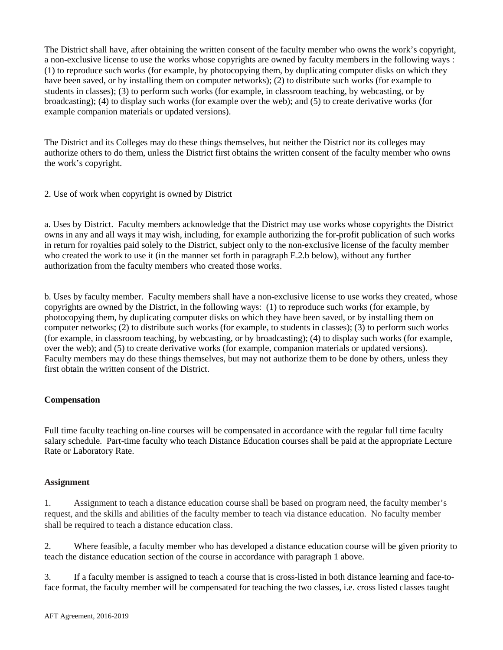The District shall have, after obtaining the written consent of the faculty member who owns the work's copyright, a non-exclusive license to use the works whose copyrights are owned by faculty members in the following ways : (1) to reproduce such works (for example, by photocopying them, by duplicating computer disks on which they have been saved, or by installing them on computer networks); (2) to distribute such works (for example to students in classes); (3) to perform such works (for example, in classroom teaching, by webcasting, or by broadcasting); (4) to display such works (for example over the web); and (5) to create derivative works (for example companion materials or updated versions).

The District and its Colleges may do these things themselves, but neither the District nor its colleges may authorize others to do them, unless the District first obtains the written consent of the faculty member who owns the work's copyright.

2. Use of work when copyright is owned by District

a. Uses by District. Faculty members acknowledge that the District may use works whose copyrights the District owns in any and all ways it may wish, including, for example authorizing the for-profit publication of such works in return for royalties paid solely to the District, subject only to the non-exclusive license of the faculty member who created the work to use it (in the manner set forth in paragraph E.2.b below), without any further authorization from the faculty members who created those works.

b. Uses by faculty member. Faculty members shall have a non-exclusive license to use works they created, whose copyrights are owned by the District, in the following ways: (1) to reproduce such works (for example, by photocopying them, by duplicating computer disks on which they have been saved, or by installing them on computer networks; (2) to distribute such works (for example, to students in classes); (3) to perform such works (for example, in classroom teaching, by webcasting, or by broadcasting); (4) to display such works (for example, over the web); and (5) to create derivative works (for example, companion materials or updated versions). Faculty members may do these things themselves, but may not authorize them to be done by others, unless they first obtain the written consent of the District.

## **Compensation**

Full time faculty teaching on-line courses will be compensated in accordance with the regular full time faculty salary schedule. Part-time faculty who teach Distance Education courses shall be paid at the appropriate Lecture Rate or Laboratory Rate.

## **Assignment**

1. Assignment to teach a distance education course shall be based on program need, the faculty member's request, and the skills and abilities of the faculty member to teach via distance education. No faculty member shall be required to teach a distance education class.

2. Where feasible, a faculty member who has developed a distance education course will be given priority to teach the distance education section of the course in accordance with paragraph 1 above.

3. If a faculty member is assigned to teach a course that is cross-listed in both distance learning and face-toface format, the faculty member will be compensated for teaching the two classes, i.e. cross listed classes taught